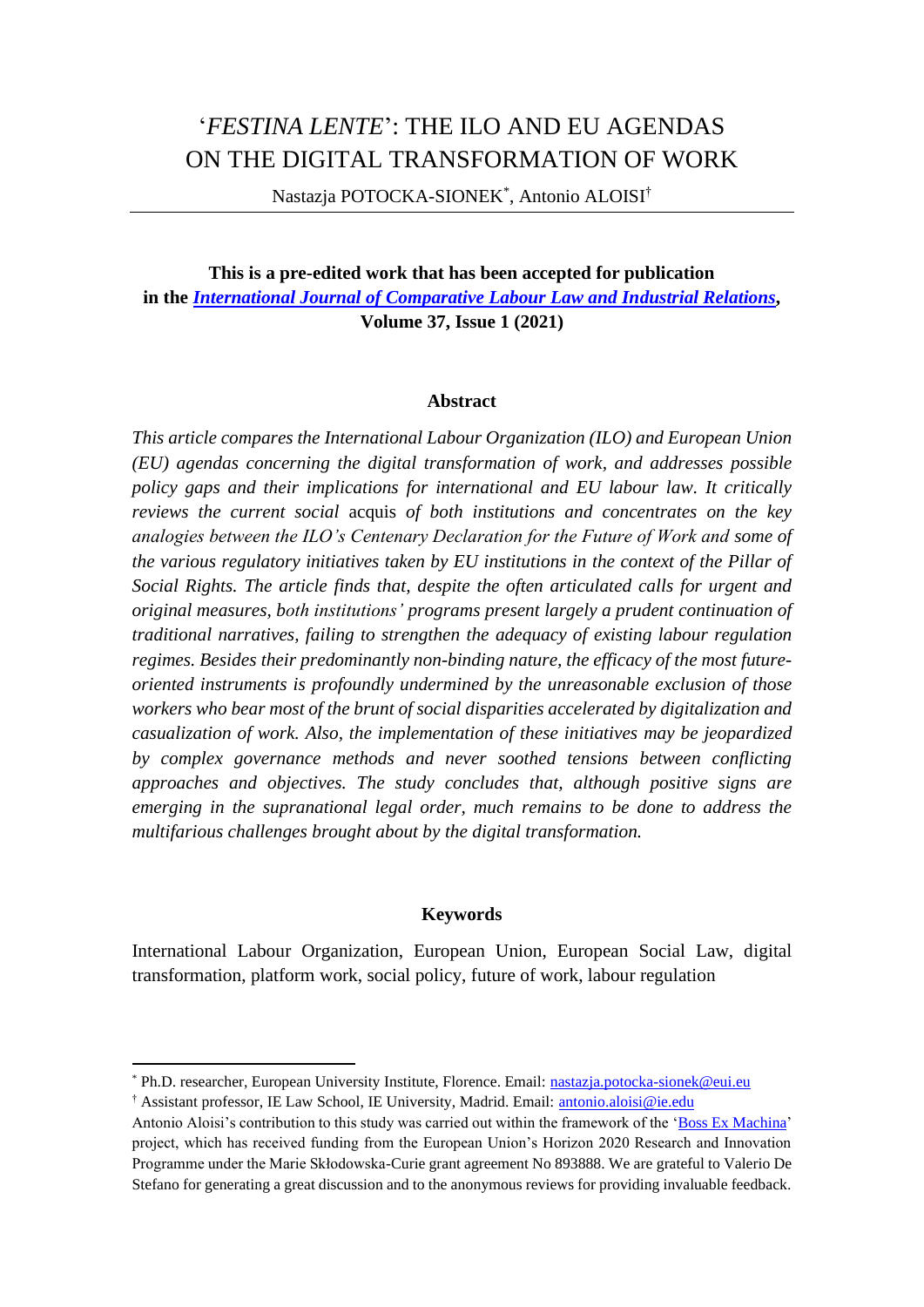# '*FESTINA LENTE*': THE ILO AND EU AGENDAS ON THE DIGITAL TRANSFORMATION OF WORK

Nastazja POTOCKA-SIONEK\* , Antonio ALOISI†

**This is a pre-edited work that has been accepted for publication in the** *[International Journal of Comparative Labour Law and Industrial Relations](https://kluwerlawonline.com/Journals/International+Journal+of+Comparative+Labour+Law+and+Industrial+Relations/672)***, Volume 37, Issue 1 (2021)**

#### **Abstract**

*This article compares the International Labour Organization (ILO) and European Union (EU) agendas concerning the digital transformation of work, and addresses possible policy gaps and their implications for international and EU labour law. It critically reviews the current social* acquis *of both institutions and concentrates on the key analogies between the ILO's Centenary Declaration for the Future of Work and some of the various regulatory initiatives taken by EU institutions in the context of the Pillar of Social Rights. The article finds that, despite the often articulated calls for urgent and original measures, both institutions' programs present largely a prudent continuation of traditional narratives, failing to strengthen the adequacy of existing labour regulation regimes. Besides their predominantly non-binding nature, the efficacy of the most futureoriented instruments is profoundly undermined by the unreasonable exclusion of those workers who bear most of the brunt of social disparities accelerated by digitalization and casualization of work. Also, the implementation of these initiatives may be jeopardized by complex governance methods and never soothed tensions between conflicting approaches and objectives. The study concludes that, although positive signs are emerging in the supranational legal order, much remains to be done to address the multifarious challenges brought about by the digital transformation.*

#### **Keywords**

International Labour Organization, European Union, European Social Law, digital transformation, platform work, social policy, future of work, labour regulation

<sup>\*</sup> Ph.D. researcher, European University Institute, Florence. Email: [nastazja.potocka-sionek@eui.eu](mailto:nastazja.potocka-sionek@eui.eu)

<sup>†</sup> Assistant professor, IE Law School, IE University, Madrid. Email: [antonio.aloisi@ie.edu](mailto:antonio.aloisi@ie.edu)

Antonio Aloisi's contribution to this study was carried out within the framework of the ['Boss Ex Machina'](https://bossexmachina.ie.edu/) project, which has received funding from the European Union's Horizon 2020 Research and Innovation Programme under the Marie Skłodowska-Curie grant agreement No 893888. We are grateful to Valerio De Stefano for generating a great discussion and to the anonymous reviews for providing invaluable feedback.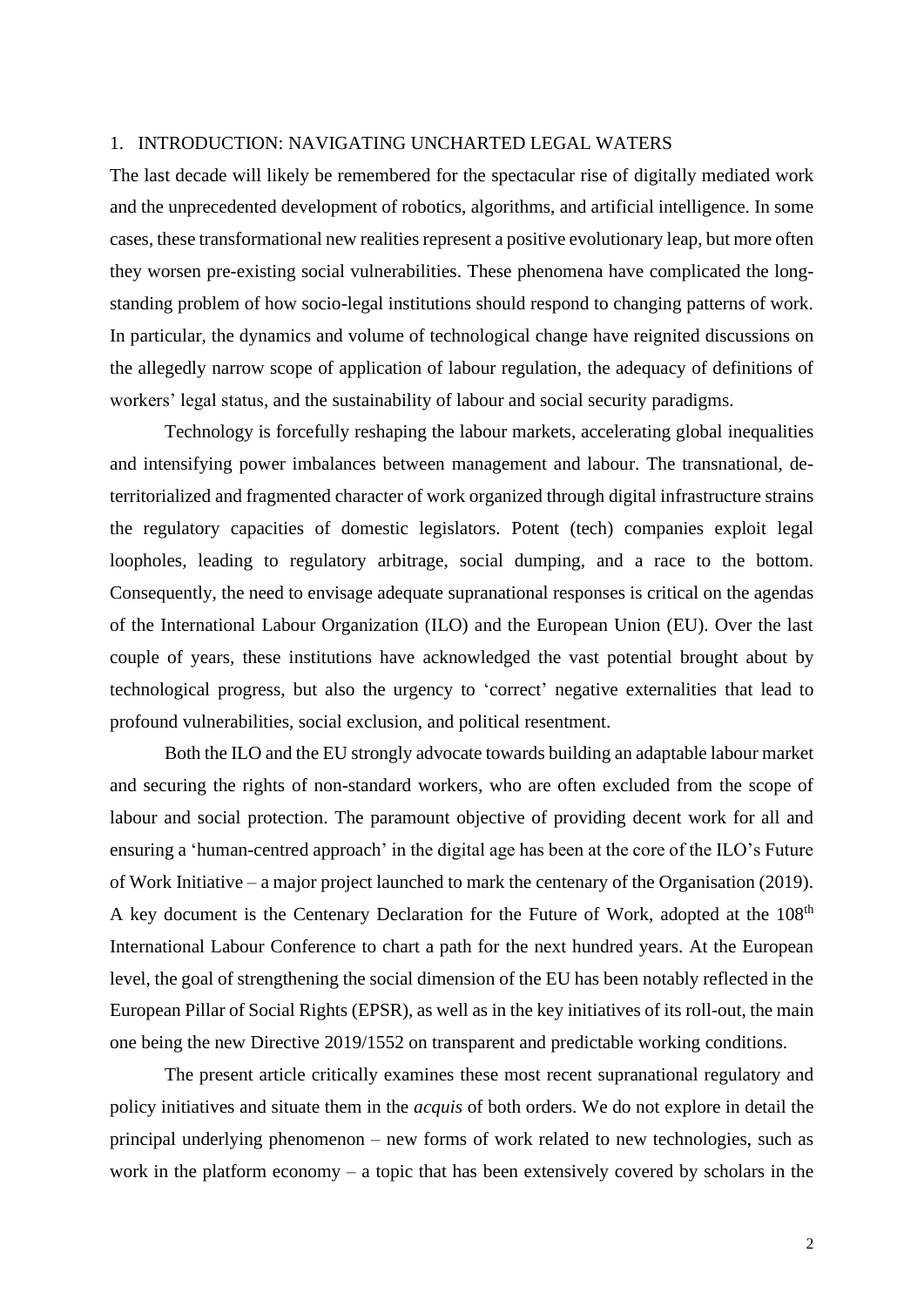#### 1. INTRODUCTION: NAVIGATING UNCHARTED LEGAL WATERS

The last decade will likely be remembered for the spectacular rise of digitally mediated work and the unprecedented development of robotics, algorithms, and artificial intelligence. In some cases, these transformational new realities represent a positive evolutionary leap, but more often they worsen pre-existing social vulnerabilities. These phenomena have complicated the longstanding problem of how socio-legal institutions should respond to changing patterns of work. In particular, the dynamics and volume of technological change have reignited discussions on the allegedly narrow scope of application of labour regulation, the adequacy of definitions of workers' legal status, and the sustainability of labour and social security paradigms.

Technology is forcefully reshaping the labour markets, accelerating global inequalities and intensifying power imbalances between management and labour. The transnational, deterritorialized and fragmented character of work organized through digital infrastructure strains the regulatory capacities of domestic legislators. Potent (tech) companies exploit legal loopholes, leading to regulatory arbitrage, social dumping, and a race to the bottom. Consequently, the need to envisage adequate supranational responses is critical on the agendas of the International Labour Organization (ILO) and the European Union (EU). Over the last couple of years, these institutions have acknowledged the vast potential brought about by technological progress, but also the urgency to 'correct' negative externalities that lead to profound vulnerabilities, social exclusion, and political resentment.

Both the ILO and the EU strongly advocate towards building an adaptable labour market and securing the rights of non-standard workers, who are often excluded from the scope of labour and social protection. The paramount objective of providing decent work for all and ensuring a 'human-centred approach' in the digital age has been at the core of the ILO's Future of Work Initiative – a major project launched to mark the centenary of the Organisation (2019). A key document is the Centenary Declaration for the Future of Work, adopted at the 108<sup>th</sup> International Labour Conference to chart a path for the next hundred years. At the European level, the goal of strengthening the social dimension of the EU has been notably reflected in the European Pillar of Social Rights (EPSR), as well as in the key initiatives of its roll-out, the main one being the new Directive 2019/1552 on transparent and predictable working conditions.

The present article critically examines these most recent supranational regulatory and policy initiatives and situate them in the *acquis* of both orders. We do not explore in detail the principal underlying phenomenon – new forms of work related to new technologies, such as work in the platform economy – a topic that has been extensively covered by scholars in the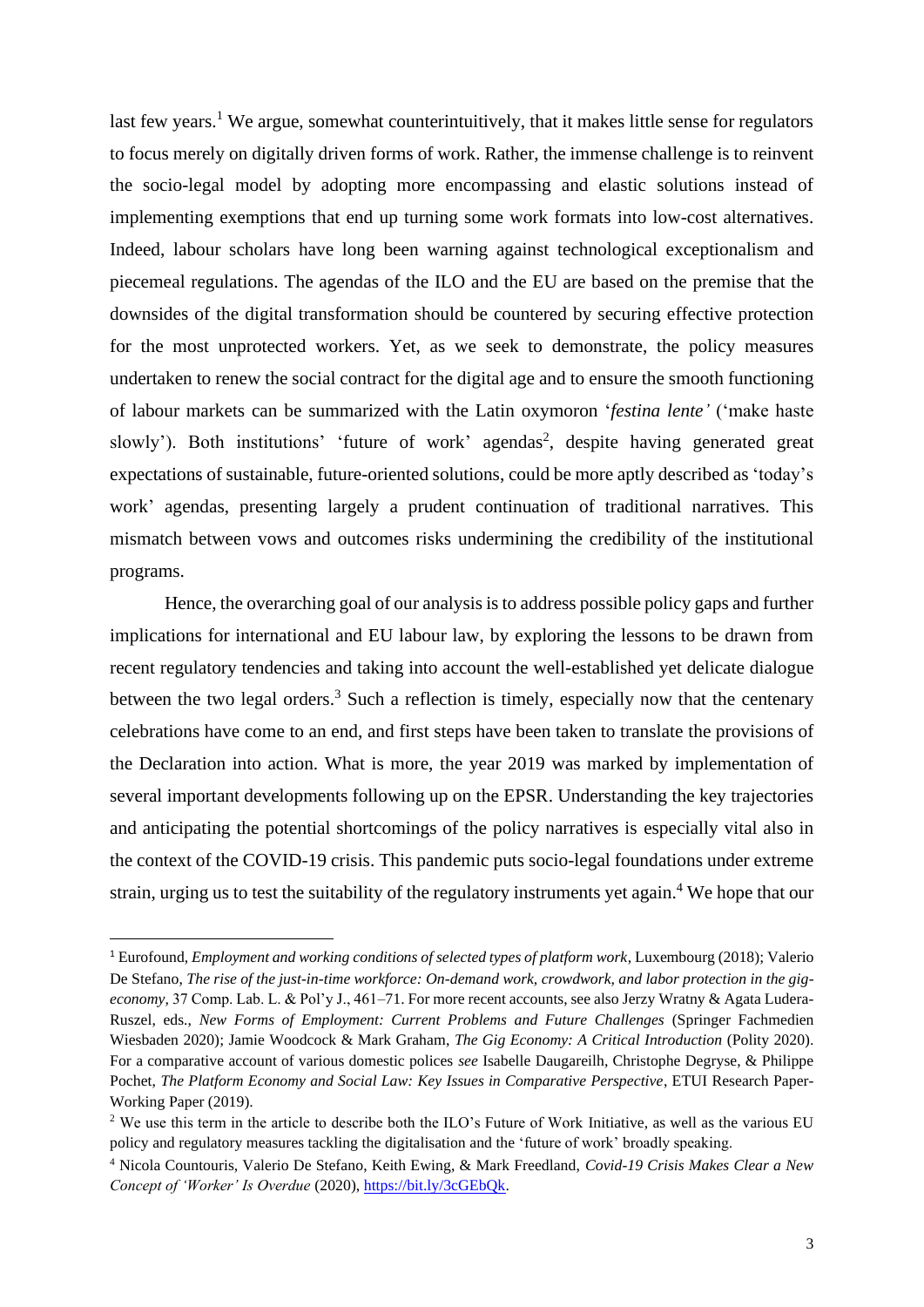last few years.<sup>1</sup> We argue, somewhat counterintuitively, that it makes little sense for regulators to focus merely on digitally driven forms of work. Rather, the immense challenge is to reinvent the socio-legal model by adopting more encompassing and elastic solutions instead of implementing exemptions that end up turning some work formats into low-cost alternatives. Indeed, labour scholars have long been warning against technological exceptionalism and piecemeal regulations. The agendas of the ILO and the EU are based on the premise that the downsides of the digital transformation should be countered by securing effective protection for the most unprotected workers. Yet, as we seek to demonstrate, the policy measures undertaken to renew the social contract for the digital age and to ensure the smooth functioning of labour markets can be summarized with the Latin oxymoron '*festina lente'* ('make haste slowly'). Both institutions' 'future of work' agendas<sup>2</sup>, despite having generated great expectations of sustainable, future-oriented solutions, could be more aptly described as 'today's work' agendas, presenting largely a prudent continuation of traditional narratives. This mismatch between vows and outcomes risks undermining the credibility of the institutional programs.

Hence, the overarching goal of our analysis is to address possible policy gaps and further implications for international and EU labour law, by exploring the lessons to be drawn from recent regulatory tendencies and taking into account the well-established yet delicate dialogue between the two legal orders.<sup>3</sup> Such a reflection is timely, especially now that the centenary celebrations have come to an end, and first steps have been taken to translate the provisions of the Declaration into action. What is more, the year 2019 was marked by implementation of several important developments following up on the EPSR. Understanding the key trajectories and anticipating the potential shortcomings of the policy narratives is especially vital also in the context of the COVID-19 crisis. This pandemic puts socio-legal foundations under extreme strain, urging us to test the suitability of the regulatory instruments yet again. <sup>4</sup> We hope that our

<sup>1</sup> Eurofound, *Employment and working conditions of selected types of platform work*, Luxembourg (2018); Valerio De Stefano, *The rise of the just-in-time workforce: On-demand work, crowdwork, and labor protection in the gigeconomy,* 37 Comp. Lab. L. & Pol'y J., 461–71. For more recent accounts, see also Jerzy Wratny & Agata Ludera-Ruszel, eds., *New Forms of Employment: Current Problems and Future Challenges* (Springer Fachmedien Wiesbaden 2020); Jamie Woodcock & Mark Graham, *The Gig Economy: A Critical Introduction* (Polity 2020). For a comparative account of various domestic polices *see* Isabelle Daugareilh, Christophe Degryse, & Philippe Pochet, *The Platform Economy and Social Law: Key Issues in Comparative Perspective*, ETUI Research Paper-Working Paper (2019).

<sup>&</sup>lt;sup>2</sup> We use this term in the article to describe both the ILO's Future of Work Initiative, as well as the various EU policy and regulatory measures tackling the digitalisation and the 'future of work' broadly speaking.

<sup>4</sup> Nicola Countouris, Valerio De Stefano, Keith Ewing, & Mark Freedland, *Covid-19 Crisis Makes Clear a New Concept of 'Worker' Is Overdue* (2020)[, https://bit.ly/3cGEbQk.](https://bit.ly/3cGEbQk)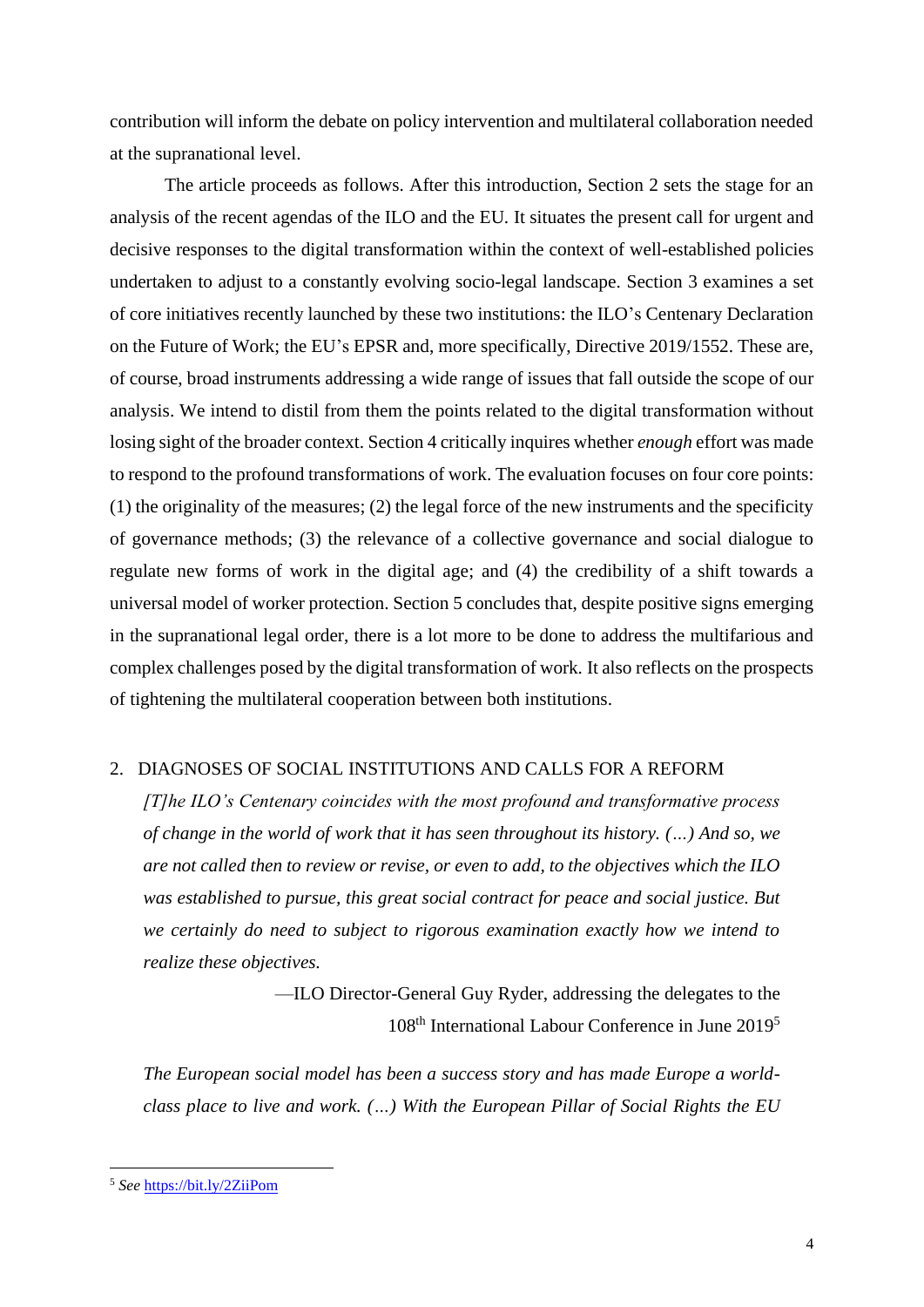contribution will inform the debate on policy intervention and multilateral collaboration needed at the supranational level.

The article proceeds as follows. After this introduction, Section 2 sets the stage for an analysis of the recent agendas of the ILO and the EU*.* It situates the present call for urgent and decisive responses to the digital transformation within the context of well-established policies undertaken to adjust to a constantly evolving socio-legal landscape. Section 3 examines a set of core initiatives recently launched by these two institutions: the ILO's Centenary Declaration on the Future of Work; the EU's EPSR and, more specifically, Directive 2019/1552. These are, of course, broad instruments addressing a wide range of issues that fall outside the scope of our analysis. We intend to distil from them the points related to the digital transformation without losing sight of the broader context. Section 4 critically inquires whether *enough* effort was made to respond to the profound transformations of work. The evaluation focuses on four core points: (1) the originality of the measures; (2) the legal force of the new instruments and the specificity of governance methods; (3) the relevance of a collective governance and social dialogue to regulate new forms of work in the digital age; and (4) the credibility of a shift towards a universal model of worker protection. Section 5 concludes that, despite positive signs emerging in the supranational legal order, there is a lot more to be done to address the multifarious and complex challenges posed by the digital transformation of work*.* It also reflects on the prospects of tightening the multilateral cooperation between both institutions.

#### 2. DIAGNOSES OF SOCIAL INSTITUTIONS AND CALLS FOR A REFORM

*[T]he ILO's Centenary coincides with the most profound and transformative process of change in the world of work that it has seen throughout its history. (…) And so, we are not called then to review or revise, or even to add, to the objectives which the ILO was established to pursue, this great social contract for peace and social justice. But we certainly do need to subject to rigorous examination exactly how we intend to realize these objectives.*

> —ILO Director-General Guy Ryder, addressing the delegates to the 108<sup>th</sup> International Labour Conference in June 2019<sup>5</sup>

*The European social model has been a success story and has made Europe a worldclass place to live and work. (…) With the European Pillar of Social Rights the EU* 

<sup>5</sup> *See* <https://bit.ly/2ZiiPom>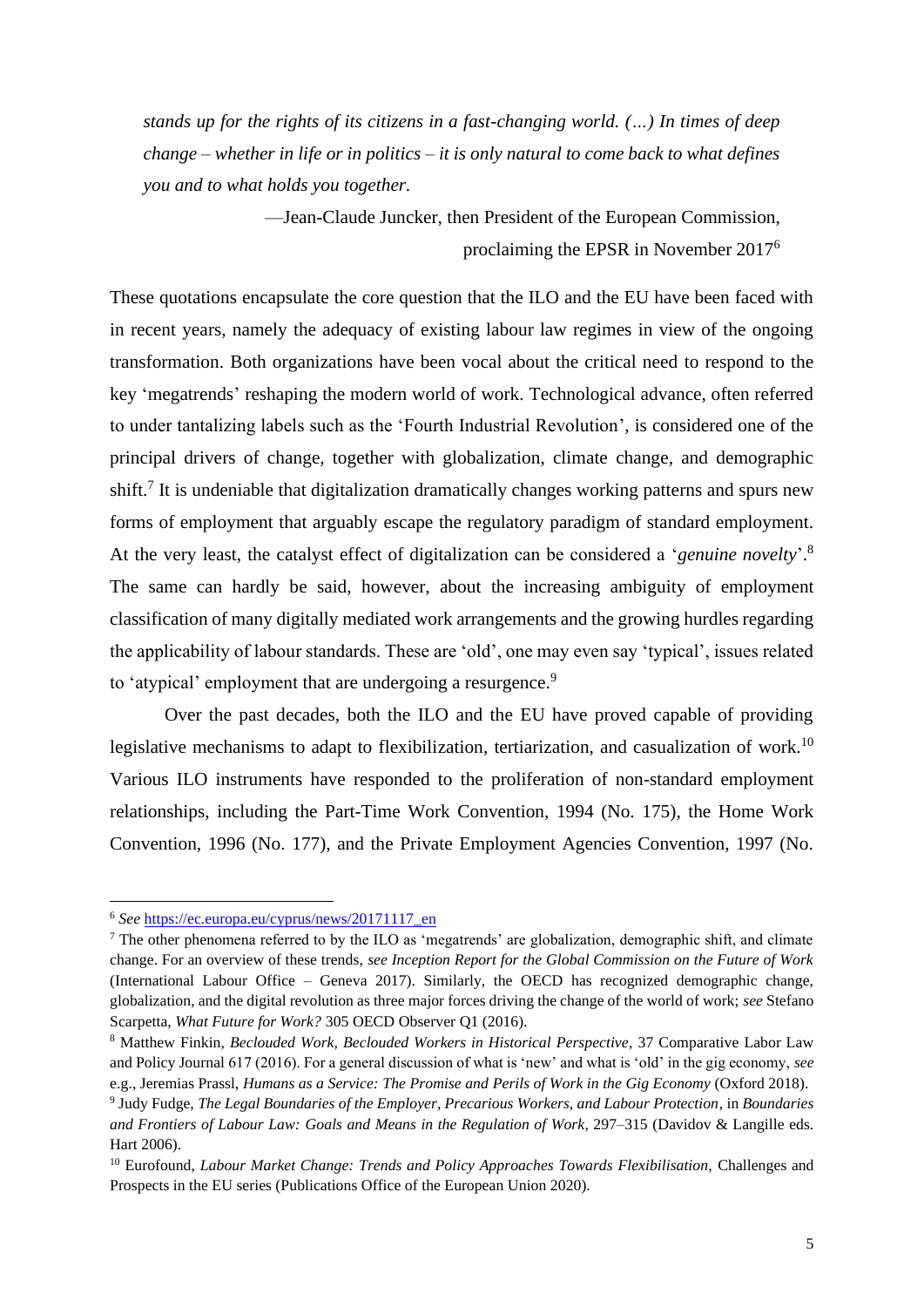*stands up for the rights of its citizens in a fast-changing world. (…) In times of deep change – whether in life or in politics – it is only natural to come back to what defines you and to what holds you together.*

> —Jean-Claude Juncker, then President of the European Commission, proclaiming the EPSR in November 2017<sup>6</sup>

These quotations encapsulate the core question that the ILO and the EU have been faced with in recent years, namely the adequacy of existing labour law regimes in view of the ongoing transformation. Both organizations have been vocal about the critical need to respond to the key 'megatrends' reshaping the modern world of work. Technological advance, often referred to under tantalizing labels such as the 'Fourth Industrial Revolution', is considered one of the principal drivers of change, together with globalization, climate change, and demographic shift.<sup>7</sup> It is undeniable that digitalization dramatically changes working patterns and spurs new forms of employment that arguably escape the regulatory paradigm of standard employment. At the very least, the catalyst effect of digitalization can be considered a '*genuine novelty*'. 8 The same can hardly be said, however, about the increasing ambiguity of employment classification of many digitally mediated work arrangements and the growing hurdles regarding the applicability of labour standards. These are 'old', one may even say 'typical', issues related to 'atypical' employment that are undergoing a resurgence.<sup>9</sup>

Over the past decades, both the ILO and the EU have proved capable of providing legislative mechanisms to adapt to flexibilization, tertiarization, and casualization of work.<sup>10</sup> Various ILO instruments have responded to the proliferation of non-standard employment relationships, including the Part-Time Work Convention, 1994 (No. 175), the Home Work Convention, 1996 (No. 177), and the Private Employment Agencies Convention, 1997 (No.

<sup>6</sup> *See* [https://ec.europa.eu/cyprus/news/20171117\\_en](https://ec.europa.eu/cyprus/news/20171117_en)

<sup>7</sup> The other phenomena referred to by the ILO as 'megatrends' are globalization, demographic shift, and climate change. For an overview of these trends, *see Inception Report for the Global Commission on the Future of Work* (International Labour Office – Geneva 2017). Similarly, the OECD has recognized demographic change, globalization, and the digital revolution as three major forces driving the change of the world of work; *see* Stefano Scarpetta, *What Future for Work?* 305 OECD Observer Q1 (2016).

<sup>8</sup> Matthew Finkin, *Beclouded Work, Beclouded Workers in Historical Perspective*, 37 Comparative Labor Law and Policy Journal 617 (2016). For a general discussion of what is 'new' and what is 'old' in the gig economy, *see*  e.g., Jeremias Prassl, *Humans as a Service: The Promise and Perils of Work in the Gig Economy* (Oxford 2018).

<sup>9</sup> Judy Fudge, *The Legal Boundaries of the Employer, Precarious Workers, and Labour Protection*, in *Boundaries and Frontiers of Labour Law: Goals and Means in the Regulation of Work*, 297–315 (Davidov & Langille eds. Hart 2006).

<sup>&</sup>lt;sup>10</sup> Eurofound, *Labour Market Change: Trends and Policy Approaches Towards Flexibilisation*, Challenges and Prospects in the EU series (Publications Office of the European Union 2020).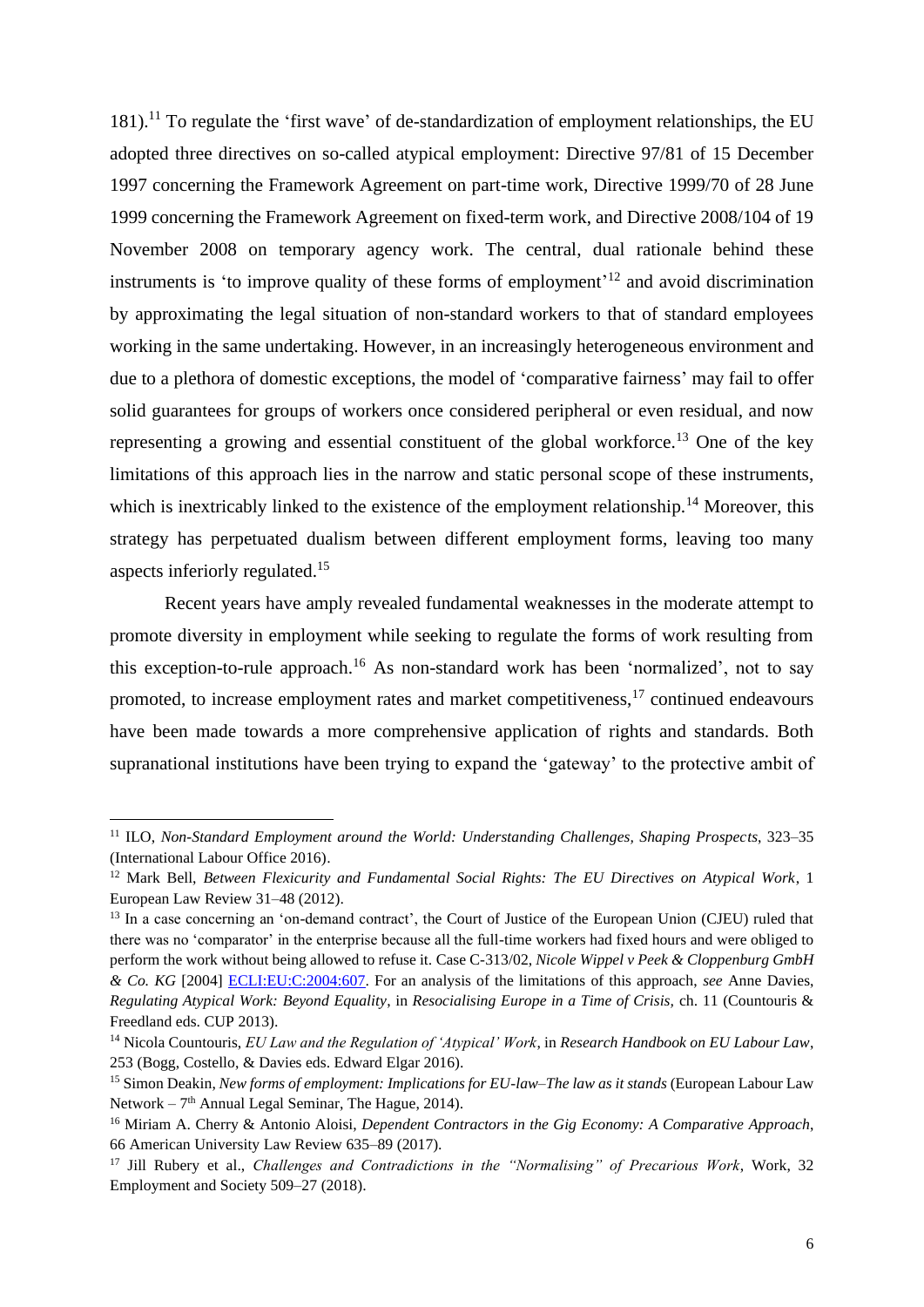$181$ ).<sup>11</sup> To regulate the 'first wave' of de-standardization of employment relationships, the EU adopted three directives on so-called atypical employment: Directive 97/81 of 15 December 1997 concerning the Framework Agreement on part-time work, Directive 1999/70 of 28 June 1999 concerning the Framework Agreement on fixed-term work, and Directive 2008/104 of 19 November 2008 on temporary agency work. The central, dual rationale behind these instruments is 'to improve quality of these forms of employment<sup>'12</sup> and avoid discrimination by approximating the legal situation of non-standard workers to that of standard employees working in the same undertaking. However, in an increasingly heterogeneous environment and due to a plethora of domestic exceptions, the model of 'comparative fairness' may fail to offer solid guarantees for groups of workers once considered peripheral or even residual, and now representing a growing and essential constituent of the global workforce.<sup>13</sup> One of the key limitations of this approach lies in the narrow and static personal scope of these instruments, which is inextricably linked to the existence of the employment relationship.<sup>14</sup> Moreover, this strategy has perpetuated dualism between different employment forms, leaving too many aspects inferiorly regulated.<sup>15</sup>

Recent years have amply revealed fundamental weaknesses in the moderate attempt to promote diversity in employment while seeking to regulate the forms of work resulting from this exception-to-rule approach.<sup>16</sup> As non-standard work has been 'normalized', not to say promoted, to increase employment rates and market competitiveness,<sup>17</sup> continued endeavours have been made towards a more comprehensive application of rights and standards. Both supranational institutions have been trying to expand the 'gateway' to the protective ambit of

<sup>11</sup> ILO, *Non-Standard Employment around the World: Understanding Challenges, Shaping Prospects*, 323–35 (International Labour Office 2016).

<sup>12</sup> Mark Bell, *Between Flexicurity and Fundamental Social Rights: The EU Directives on Atypical Work*, 1 European Law Review 31–48 (2012).

<sup>&</sup>lt;sup>13</sup> In a case concerning an 'on-demand contract', the Court of Justice of the European Union (CJEU) ruled that there was no 'comparator' in the enterprise because all the full-time workers had fixed hours and were obliged to perform the work without being allowed to refuse it. Case C-313/02, *Nicole Wippel v Peek & Cloppenburg GmbH & Co. KG* [2004] [ECLI:EU:C:2004:607.](http://curia.europa.eu/juris/liste.jsf?language=en&num=C-313/02) For an analysis of the limitations of this approach, *see* Anne Davies, *Regulating Atypical Work: Beyond Equality*, in *Resocialising Europe in a Time of Crisis,* ch. 11 (Countouris & Freedland eds. CUP 2013).

<sup>14</sup> Nicola Countouris, *EU Law and the Regulation of 'Atypical' Work*, in *Research Handbook on EU Labour Law*, 253 (Bogg, Costello, & Davies eds. Edward Elgar 2016).

<sup>15</sup> Simon Deakin, *New forms of employment: Implications for EU-law–The law as it stands* (European Labour Law Network –  $7<sup>th</sup>$  Annual Legal Seminar, The Hague, 2014).

<sup>16</sup> Miriam A. Cherry & Antonio Aloisi, *Dependent Contractors in the Gig Economy: A Comparative Approach*, 66 American University Law Review 635–89 (2017).

<sup>17</sup> Jill Rubery et al., *Challenges and Contradictions in the "Normalising" of Precarious Work*, Work, 32 Employment and Society 509–27 (2018).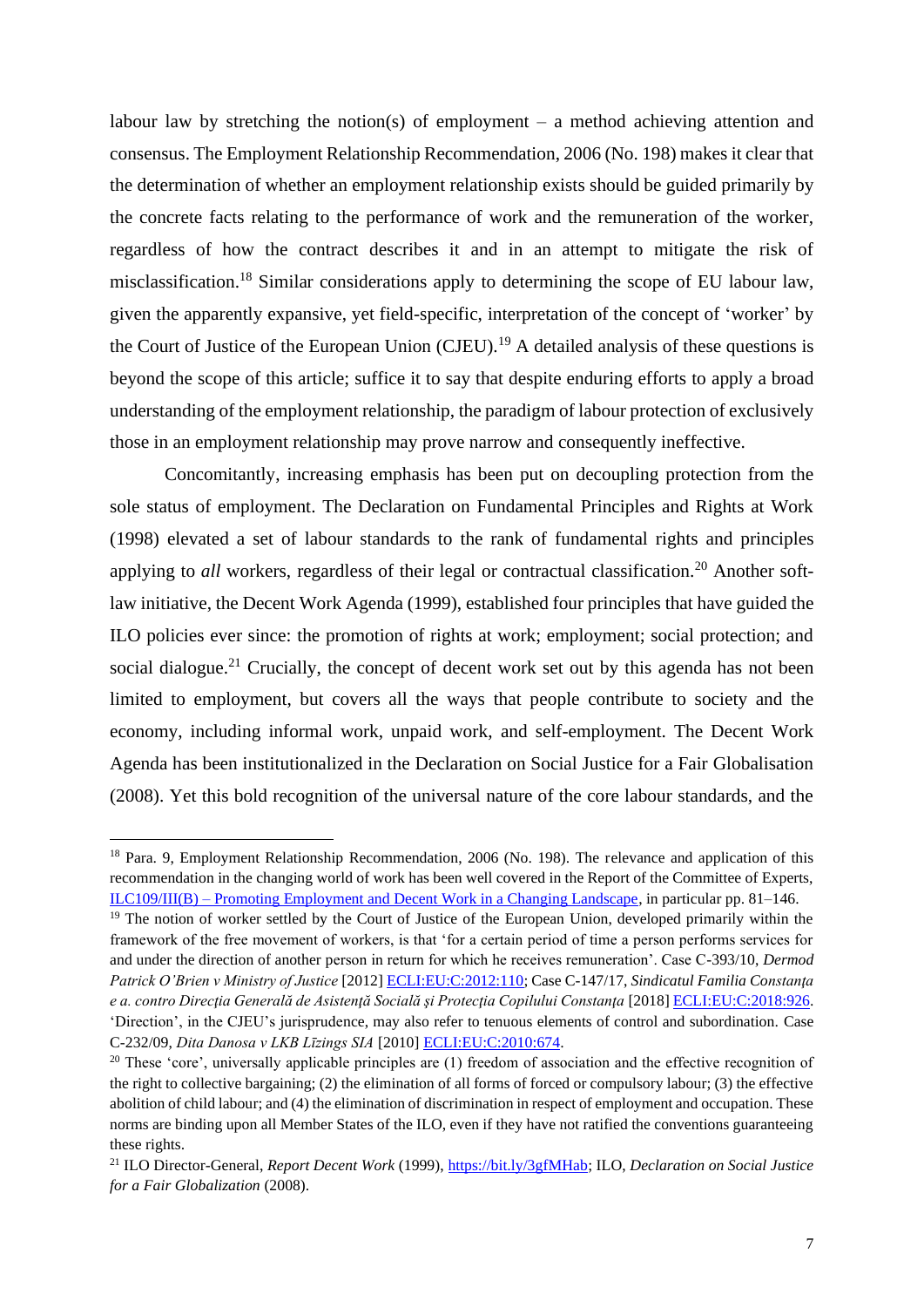labour law by stretching the notion(s) of employment – a method achieving attention and consensus. The Employment Relationship Recommendation, 2006 (No. 198) makes it clear that the determination of whether an employment relationship exists should be guided primarily by the concrete facts relating to the performance of work and the remuneration of the worker, regardless of how the contract describes it and in an attempt to mitigate the risk of misclassification.<sup>18</sup> Similar considerations apply to determining the scope of EU labour law, given the apparently expansive, yet field-specific, interpretation of the concept of 'worker' by the Court of Justice of the European Union (CJEU).<sup>19</sup> A detailed analysis of these questions is beyond the scope of this article; suffice it to say that despite enduring efforts to apply a broad understanding of the employment relationship, the paradigm of labour protection of exclusively those in an employment relationship may prove narrow and consequently ineffective.

Concomitantly, increasing emphasis has been put on decoupling protection from the sole status of employment. The Declaration on Fundamental Principles and Rights at Work (1998) elevated a set of labour standards to the rank of fundamental rights and principles applying to *all* workers, regardless of their legal or contractual classification.<sup>20</sup> Another softlaw initiative, the Decent Work Agenda (1999), established four principles that have guided the ILO policies ever since: the promotion of rights at work; employment; social protection; and social dialogue.<sup>21</sup> Crucially, the concept of decent work set out by this agenda has not been limited to employment, but covers all the ways that people contribute to society and the economy, including informal work, unpaid work, and self-employment. The Decent Work Agenda has been institutionalized in the Declaration on Social Justice for a Fair Globalisation (2008). Yet this bold recognition of the universal nature of the core labour standards, and the

<sup>&</sup>lt;sup>18</sup> Para. 9, Employment Relationship Recommendation, 2006 (No. 198). The relevance and application of this recommendation in the changing world of work has been well covered in the Report of the Committee of Experts, ILC109/III(B) – [Promoting Employment and Decent Work in a Changing Landscape,](https://www.ilo.org/wcmsp5/groups/public/---ed_norm/---relconf/documents/meetingdocument/wcms_736873.pdf) in particular pp. 81–146.

<sup>&</sup>lt;sup>19</sup> The notion of worker settled by the Court of Justice of the European Union, developed primarily within the framework of the free movement of workers, is that 'for a certain period of time a person performs services for and under the direction of another person in return for which he receives remuneration'. Case C-393/10, *Dermod Patrick O'Brien v Ministry of Justice* [2012] [ECLI:EU:C:2012:110;](http://curia.europa.eu/juris/liste.jsf?num=C-393/10&language=EN) Case C-147/17, *Sindicatul Familia Constanţa e a. contro Direcţia Generală de Asistenţă Socială şi Protecţia Copilului Constanţa* [2018[\] ECLI:EU:C:2018:926.](http://curia.europa.eu/juris/liste.jsf?oqp=&for=&mat=or&lgrec=it&jge=&td=%3BALL&jur=C%2CT%2CF&num=C-147%252F17&page=1&dates=&pcs=Oor&lg=&pro=&nat=or&cit=none%252CC%252CCJ%252CR%252C2008E%252C%252C%252C%252C%252C%252C%252C%252C%252C%252Ctrue%252Cfalse%252Cfalse&language=en&avg=&cid=709545http://curia.europa.eu/juris/liste.jsf?num=C-147/17) 'Direction', in the CJEU's jurisprudence, may also refer to tenuous elements of control and subordination. Case C-232/09, *Dita Danosa v LKB Līzings SIA* [2010] [ECLI:EU:C:2010:674.](https://eur-lex.europa.eu/legal-content/EN/TXT/?uri=CELEX%3A62009CJ0232)

 $20$  These 'core', universally applicable principles are (1) freedom of association and the effective recognition of the right to collective bargaining; (2) the elimination of all forms of forced or compulsory labour; (3) the effective abolition of child labour; and (4) the elimination of discrimination in respect of employment and occupation. These norms are binding upon all Member States of the ILO, even if they have not ratified the conventions guaranteeing these rights.

<sup>21</sup> ILO Director-General, *Report Decent Work* (1999)[, https://bit.ly/3gfMHab;](https://bit.ly/3gfMHab) ILO, *Declaration on Social Justice for a Fair Globalization* (2008).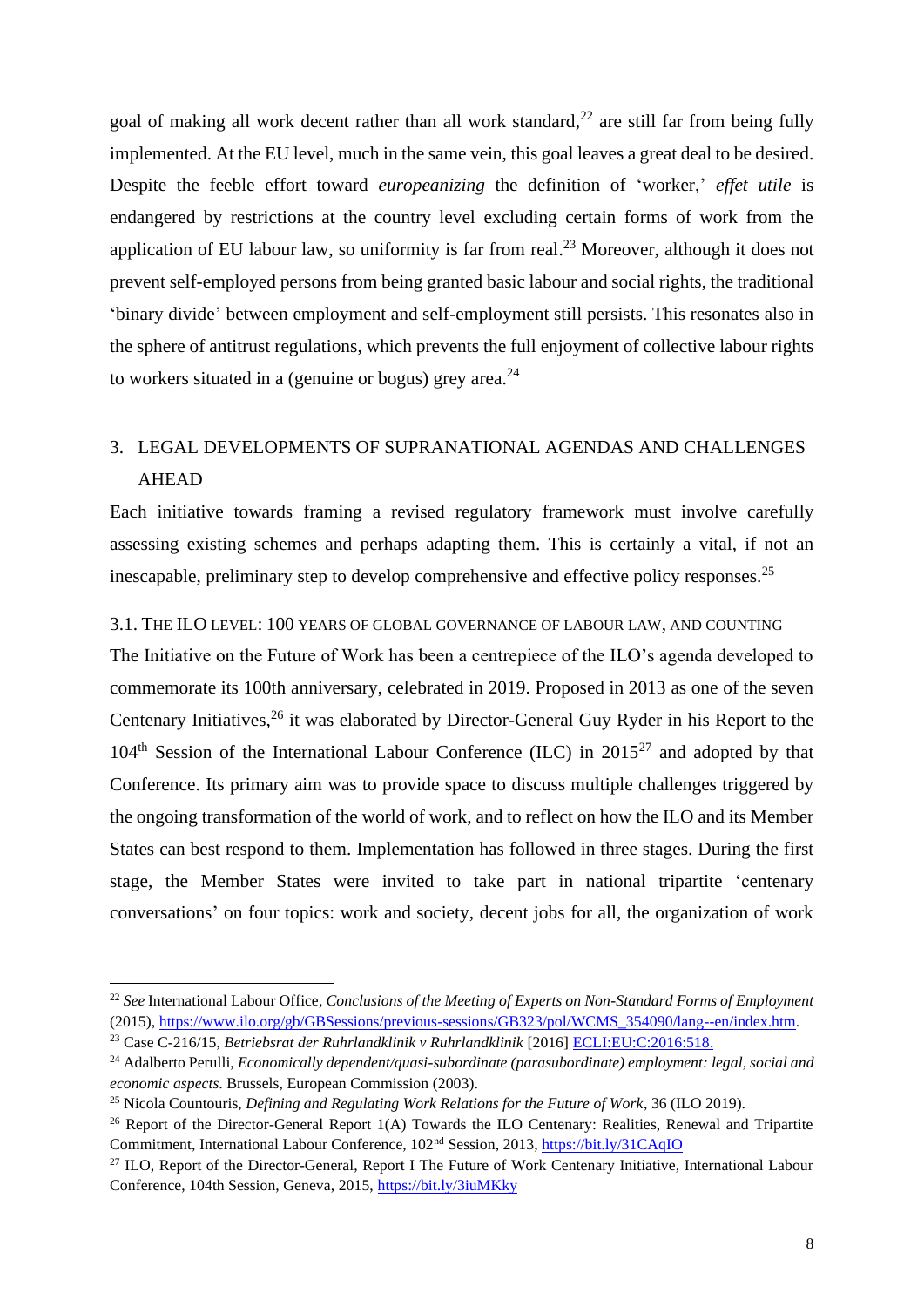goal of making all work decent rather than all work standard, $^{22}$  are still far from being fully implemented. At the EU level, much in the same vein, this goal leaves a great deal to be desired. Despite the feeble effort toward *europeanizing* the definition of 'worker,' *effet utile* is endangered by restrictions at the country level excluding certain forms of work from the application of EU labour law, so uniformity is far from real.<sup>23</sup> Moreover, although it does not prevent self-employed persons from being granted basic labour and social rights, the traditional 'binary divide' between employment and self-employment still persists. This resonates also in the sphere of antitrust regulations, which prevents the full enjoyment of collective labour rights to workers situated in a (genuine or bogus) grey area.<sup>24</sup>

## 3. LEGAL DEVELOPMENTS OF SUPRANATIONAL AGENDAS AND CHALLENGES AHEAD

Each initiative towards framing a revised regulatory framework must involve carefully assessing existing schemes and perhaps adapting them. This is certainly a vital, if not an inescapable, preliminary step to develop comprehensive and effective policy responses.<sup>25</sup>

3.1. THE ILO LEVEL: 100 YEARS OF GLOBAL GOVERNANCE OF LABOUR LAW, AND COUNTING

The Initiative on the Future of Work has been a centrepiece of the ILO's agenda developed to commemorate its 100th anniversary, celebrated in 2019. Proposed in 2013 as one of the seven Centenary Initiatives,<sup>26</sup> it was elaborated by Director-General Guy Ryder in his Report to the  $104<sup>th</sup>$  Session of the International Labour Conference (ILC) in 2015<sup>27</sup> and adopted by that Conference. Its primary aim was to provide space to discuss multiple challenges triggered by the ongoing transformation of the world of work, and to reflect on how the ILO and its Member States can best respond to them. Implementation has followed in three stages. During the first stage, the Member States were invited to take part in national tripartite 'centenary conversations' on four topics: work and society, decent jobs for all, the organization of work

<sup>22</sup> *See* International Labour Office, *Conclusions of the Meeting of Experts on Non-Standard Forms of Employment*  (2015)[, https://www.ilo.org/gb/GBSessions/previous-sessions/GB323/pol/WCMS\\_354090/lang--en/index.htm.](https://www.ilo.org/gb/GBSessions/previous-sessions/GB323/pol/WCMS_354090/lang--en/index.htm)

<sup>23</sup> Case C-216/15, *Betriebsrat der Ruhrlandklinik v Ruhrlandklinik* [2016] [ECLI:EU:C:2016:518.](http://curia.europa.eu/juris/liste.jsf?language=en&num=C-216/15)

<sup>24</sup> Adalberto Perulli, *Economically dependent/quasi-subordinate (parasubordinate) employment: legal, social and economic aspects*. Brussels, European Commission (2003).

<sup>25</sup> Nicola Countouris, *Defining and Regulating Work Relations for the Future of Work*, 36 (ILO 2019).

<sup>&</sup>lt;sup>26</sup> Report of the Director-General Report 1(A) Towards the ILO Centenary: Realities, Renewal and Tripartite Commitment, International Labour Conference, 102nd Session, 2013,<https://bit.ly/31CAqIO>

<sup>&</sup>lt;sup>27</sup> ILO, Report of the Director-General, Report I The Future of Work Centenary Initiative, International Labour Conference, 104th Session, Geneva, 2015,<https://bit.ly/3iuMKky>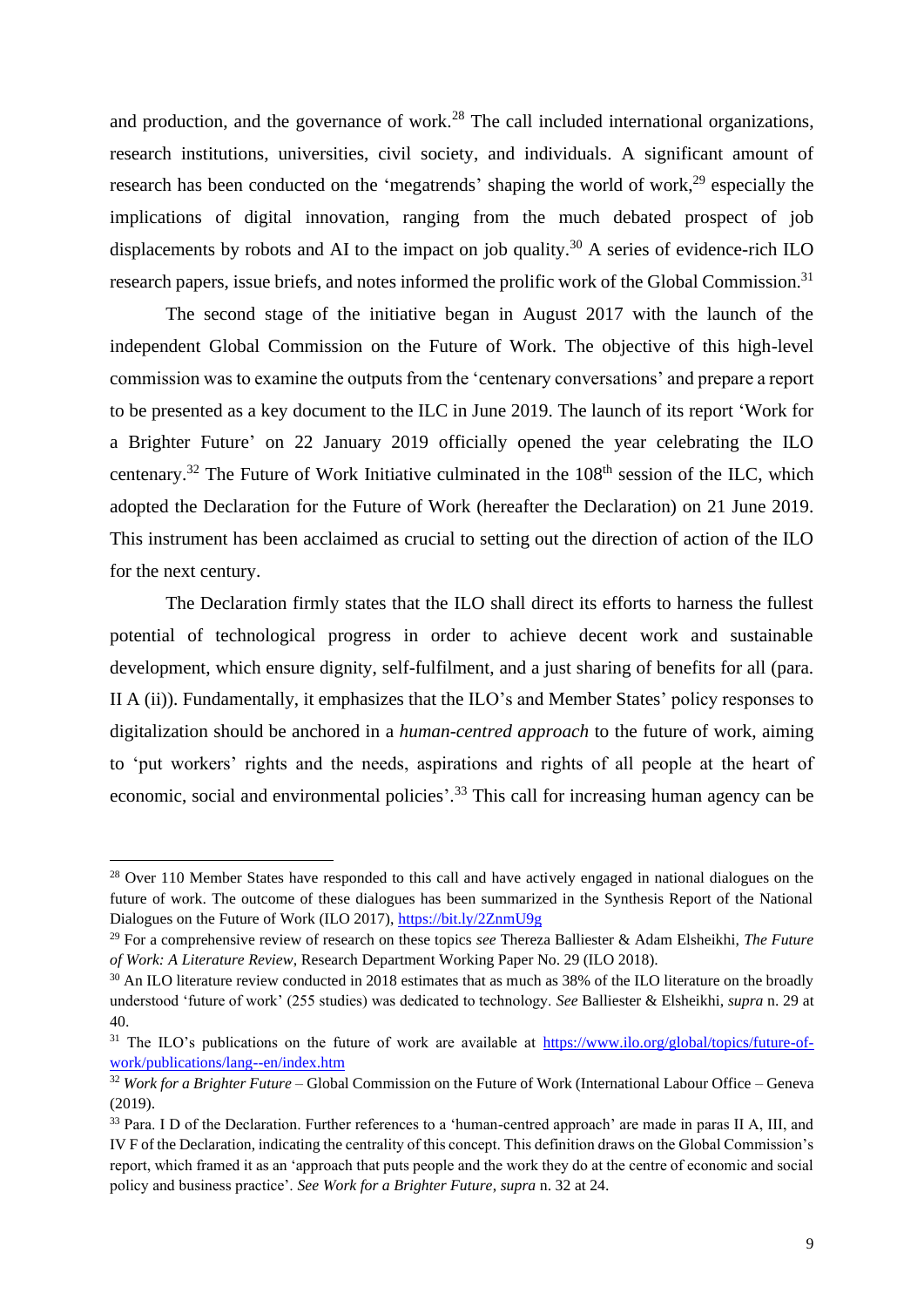and production, and the governance of work.<sup>28</sup> The call included international organizations, research institutions, universities, civil society, and individuals. A significant amount of research has been conducted on the 'megatrends' shaping the world of work,<sup>29</sup> especially the implications of digital innovation, ranging from the much debated prospect of job displacements by robots and AI to the impact on job quality.<sup>30</sup> A series of evidence-rich ILO research papers, issue briefs, and notes informed the prolific work of the Global Commission.<sup>31</sup>

The second stage of the initiative began in August 2017 with the launch of the independent Global Commission on the Future of Work. The objective of this high-level commission was to examine the outputs from the 'centenary conversations' and prepare a report to be presented as a key document to the ILC in June 2019. The launch of its report 'Work for a Brighter Future' on 22 January 2019 officially opened the year celebrating the ILO centenary.<sup>32</sup> The Future of Work Initiative culminated in the  $108<sup>th</sup>$  session of the ILC, which adopted the Declaration for the Future of Work (hereafter the Declaration) on 21 June 2019. This instrument has been acclaimed as crucial to setting out the direction of action of the ILO for the next century.

The Declaration firmly states that the ILO shall direct its efforts to harness the fullest potential of technological progress in order to achieve decent work and sustainable development, which ensure dignity, self-fulfilment, and a just sharing of benefits for all (para. II A (ii)). Fundamentally, it emphasizes that the ILO's and Member States' policy responses to digitalization should be anchored in a *human-centred approach* to the future of work, aiming to 'put workers' rights and the needs, aspirations and rights of all people at the heart of economic, social and environmental policies'.<sup>33</sup> This call for increasing human agency can be

<sup>&</sup>lt;sup>28</sup> Over 110 Member States have responded to this call and have actively engaged in national dialogues on the future of work. The outcome of these dialogues has been summarized in the Synthesis Report of the National Dialogues on the Future of Work (ILO 2017),<https://bit.ly/2ZnmU9g>

<sup>29</sup> For a comprehensive review of research on these topics *see* Thereza Balliester & Adam Elsheikhi, *The Future of Work: A Literature Review*, Research Department Working Paper No. 29 (ILO 2018).

<sup>&</sup>lt;sup>30</sup> An ILO literature review conducted in 2018 estimates that as much as 38% of the ILO literature on the broadly understood 'future of work' (255 studies) was dedicated to technology. *See* Balliester & Elsheikhi, *supra* n. 29 at 40.

<sup>&</sup>lt;sup>31</sup> The ILO's publications on the future of work are available at [https://www.ilo.org/global/topics/future-of](https://www.ilo.org/global/topics/future-of-work/publications/lang--en/index.htm)[work/publications/lang--en/index.htm](https://www.ilo.org/global/topics/future-of-work/publications/lang--en/index.htm)

<sup>32</sup> *Work for a Brighter Future* – Global Commission on the Future of Work (International Labour Office – Geneva (2019).

<sup>33</sup> Para. I D of the Declaration. Further references to a 'human-centred approach' are made in paras II A, III, and IV F of the Declaration, indicating the centrality of this concept. This definition draws on the Global Commission's report, which framed it as an 'approach that puts people and the work they do at the centre of economic and social policy and business practice'. *See Work for a Brighter Future*, *supra* n. 32 at 24.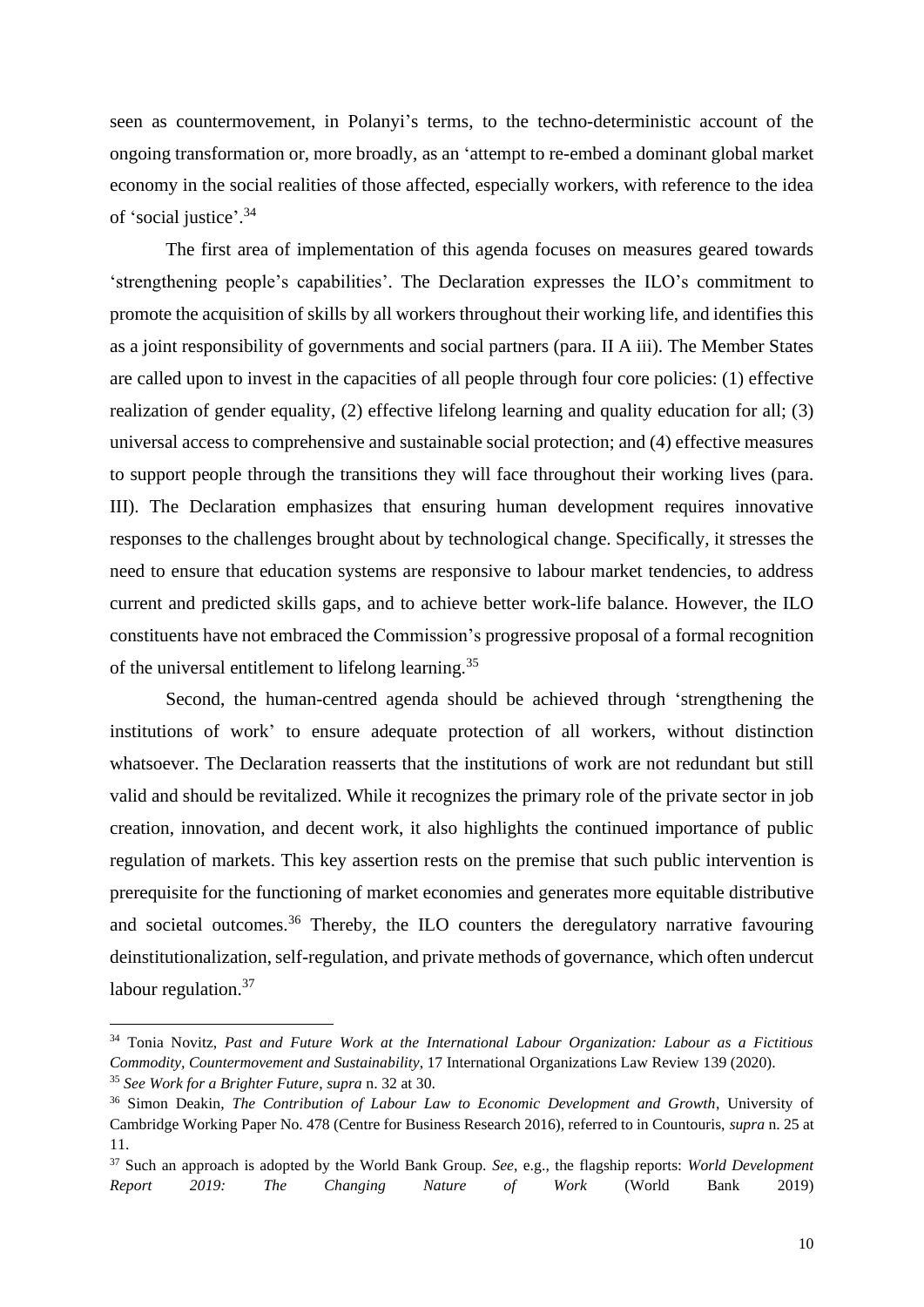seen as countermovement, in Polanyi's terms, to the techno-deterministic account of the ongoing transformation or, more broadly, as an 'attempt to re-embed a dominant global market economy in the social realities of those affected, especially workers, with reference to the idea of 'social justice'. 34

The first area of implementation of this agenda focuses on measures geared towards 'strengthening people's capabilities'. The Declaration expresses the ILO's commitment to promote the acquisition of skills by all workers throughout their working life, and identifies this as a joint responsibility of governments and social partners (para. II A iii). The Member States are called upon to invest in the capacities of all people through four core policies: (1) effective realization of gender equality, (2) effective lifelong learning and quality education for all; (3) universal access to comprehensive and sustainable social protection; and (4) effective measures to support people through the transitions they will face throughout their working lives (para. III). The Declaration emphasizes that ensuring human development requires innovative responses to the challenges brought about by technological change. Specifically, it stresses the need to ensure that education systems are responsive to labour market tendencies, to address current and predicted skills gaps, and to achieve better work-life balance. However, the ILO constituents have not embraced the Commission's progressive proposal of a formal recognition of the universal entitlement to lifelong learning.<sup>35</sup>

Second, the human-centred agenda should be achieved through 'strengthening the institutions of work' to ensure adequate protection of all workers, without distinction whatsoever. The Declaration reasserts that the institutions of work are not redundant but still valid and should be revitalized. While it recognizes the primary role of the private sector in job creation, innovation, and decent work, it also highlights the continued importance of public regulation of markets. This key assertion rests on the premise that such public intervention is prerequisite for the functioning of market economies and generates more equitable distributive and societal outcomes.<sup>36</sup> Thereby, the ILO counters the deregulatory narrative favouring deinstitutionalization, self-regulation, and private methods of governance, which often undercut labour regulation.<sup>37</sup>

<sup>34</sup> Tonia Novitz, *Past and Future Work at the International Labour Organization: Labour as a Fictitious Commodity, Countermovement and Sustainability*, 17 International Organizations Law Review 139 (2020). <sup>35</sup> *See Work for a Brighter Future*, *supra* n. 32 at 30.

<sup>36</sup> Simon Deakin, *The Contribution of Labour Law to Economic Development and Growth*, University of Cambridge Working Paper No. 478 (Centre for Business Research 2016), referred to in Countouris, *supra* n. 25 at 11.

<sup>37</sup> Such an approach is adopted by the World Bank Group. *See*, e.g., the flagship reports: *World Development Report 2019: The Changing Nature of Work* (World Bank 2019)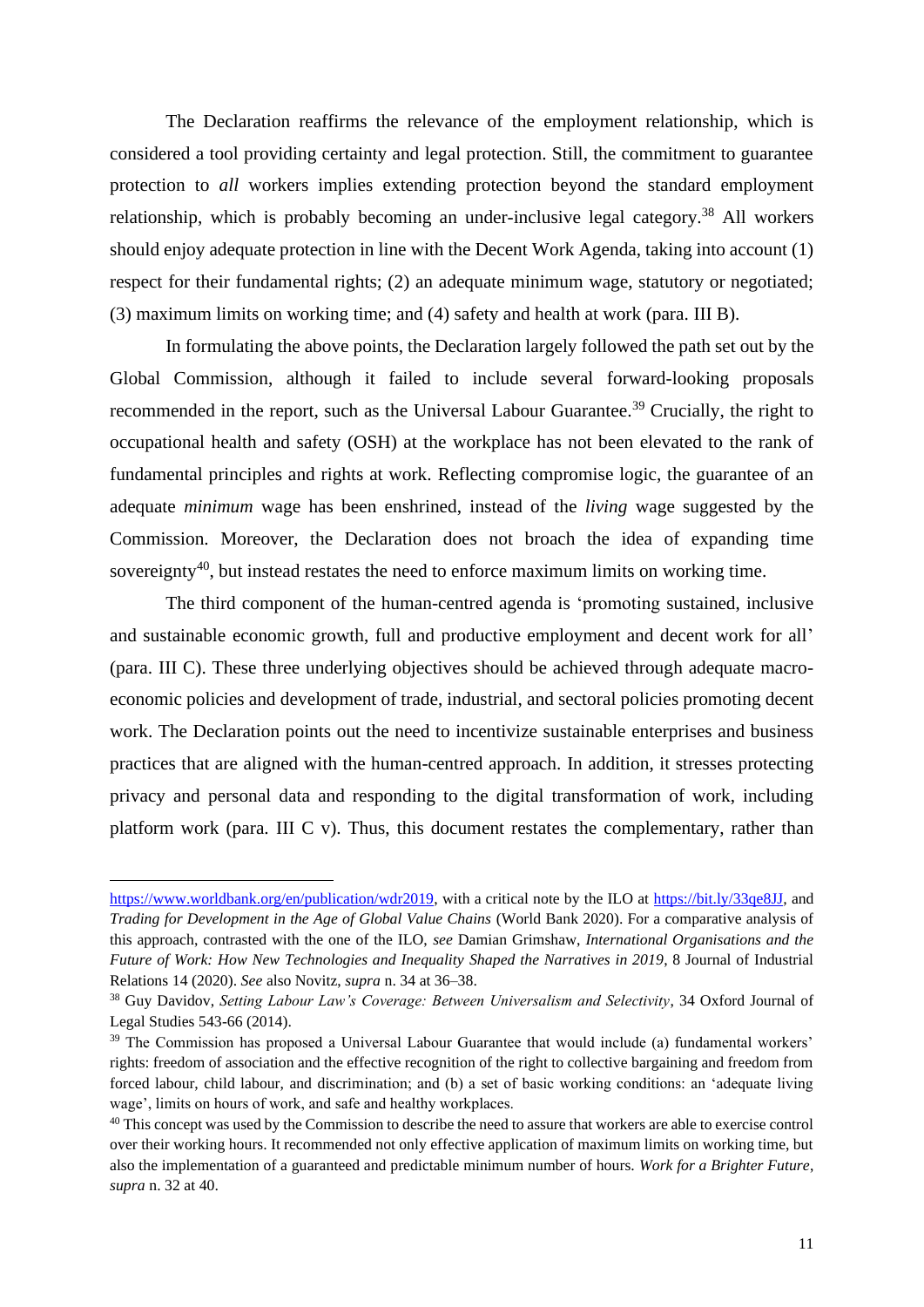The Declaration reaffirms the relevance of the employment relationship, which is considered a tool providing certainty and legal protection. Still, the commitment to guarantee protection to *all* workers implies extending protection beyond the standard employment relationship, which is probably becoming an under-inclusive legal category.<sup>38</sup> All workers should enjoy adequate protection in line with the Decent Work Agenda, taking into account (1) respect for their fundamental rights; (2) an adequate minimum wage, statutory or negotiated; (3) maximum limits on working time; and (4) safety and health at work (para. III B).

In formulating the above points, the Declaration largely followed the path set out by the Global Commission, although it failed to include several forward-looking proposals recommended in the report, such as the Universal Labour Guarantee.<sup>39</sup> Crucially, the right to occupational health and safety (OSH) at the workplace has not been elevated to the rank of fundamental principles and rights at work. Reflecting compromise logic, the guarantee of an adequate *minimum* wage has been enshrined, instead of the *living* wage suggested by the Commission. Moreover, the Declaration does not broach the idea of expanding time sovereignty<sup>40</sup>, but instead restates the need to enforce maximum limits on working time.

The third component of the human-centred agenda is 'promoting sustained, inclusive and sustainable economic growth, full and productive employment and decent work for all' (para. III C). These three underlying objectives should be achieved through adequate macroeconomic policies and development of trade, industrial, and sectoral policies promoting decent work. The Declaration points out the need to incentivize sustainable enterprises and business practices that are aligned with the human-centred approach. In addition, it stresses protecting privacy and personal data and responding to the digital transformation of work, including platform work (para. III C v). Thus, this document restates the complementary, rather than

[https://www.worldbank.org/en/publication/wdr2019,](https://www.worldbank.org/en/publication/wdr2019) with a critical note by the ILO at <https://bit.ly/33qe8JJ>*,* and *Trading for Development in the Age of Global Value Chains* (World Bank 2020). For a comparative analysis of this approach, contrasted with the one of the ILO, *see* Damian Grimshaw, *International Organisations and the Future of Work: How New Technologies and Inequality Shaped the Narratives in 2019*, 8 Journal of Industrial Relations 14 (2020). *See* also Novitz, *supra* n. 34 at 36–38.

<sup>38</sup> Guy Davidov, *Setting Labour Law's Coverage: Between Universalism and Selectivity*, 34 Oxford Journal of Legal Studies 543-66 (2014).

<sup>39</sup> The Commission has proposed a Universal Labour Guarantee that would include (a) fundamental workers' rights: freedom of association and the effective recognition of the right to collective bargaining and freedom from forced labour, child labour, and discrimination; and (b) a set of basic working conditions: an 'adequate living wage', limits on hours of work, and safe and healthy workplaces.

<sup>&</sup>lt;sup>40</sup> This concept was used by the Commission to describe the need to assure that workers are able to exercise control over their working hours. It recommended not only effective application of maximum limits on working time, but also the implementation of a guaranteed and predictable minimum number of hours. *Work for a Brighter Future*, *supra* n. 32 at 40.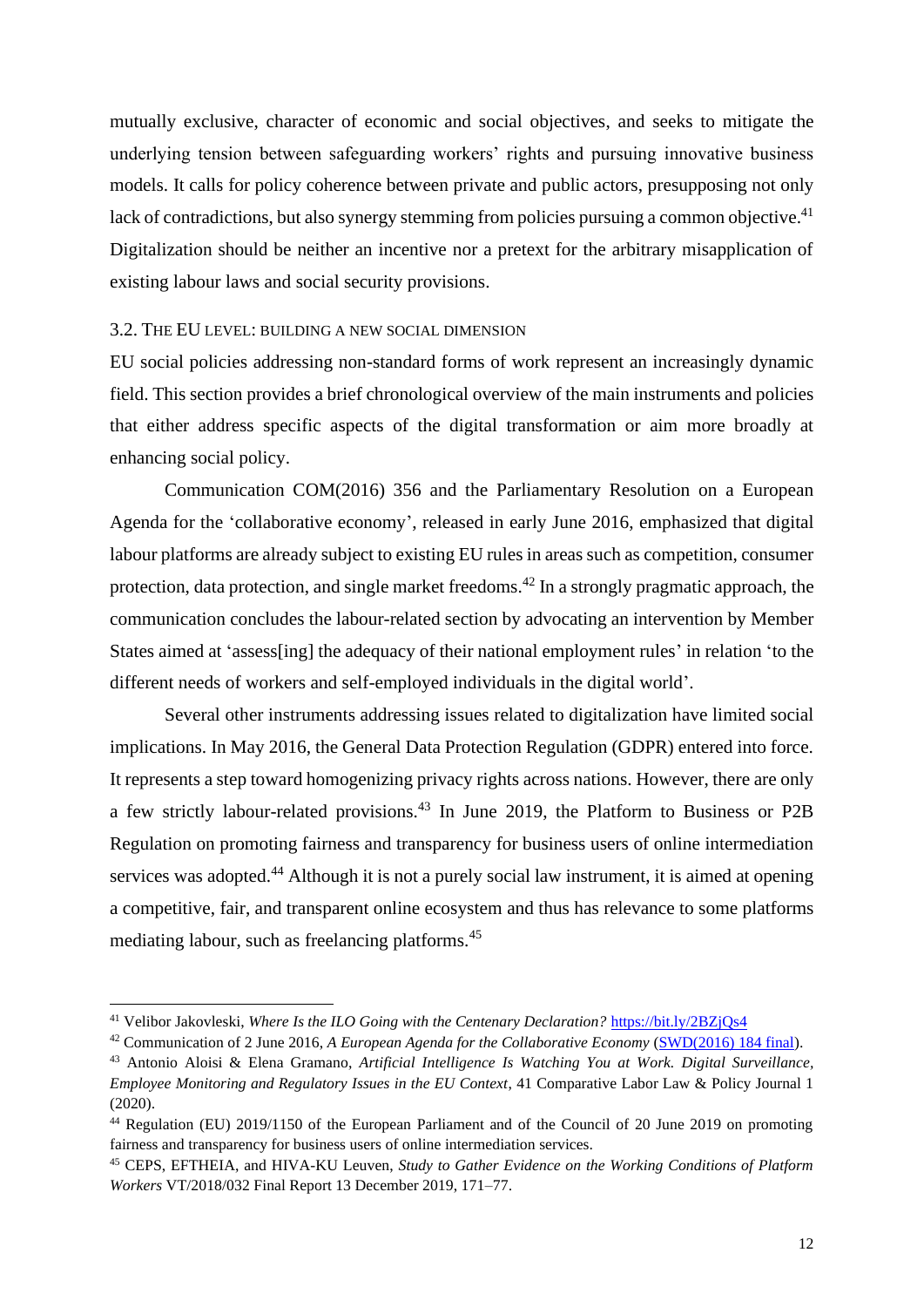mutually exclusive, character of economic and social objectives, and seeks to mitigate the underlying tension between safeguarding workers' rights and pursuing innovative business models. It calls for policy coherence between private and public actors, presupposing not only lack of contradictions, but also synergy stemming from policies pursuing a common objective.<sup>41</sup> Digitalization should be neither an incentive nor a pretext for the arbitrary misapplication of existing labour laws and social security provisions.

#### 3.2. THE EU LEVEL: BUILDING A NEW SOCIAL DIMENSION

EU social policies addressing non-standard forms of work represent an increasingly dynamic field. This section provides a brief chronological overview of the main instruments and policies that either address specific aspects of the digital transformation or aim more broadly at enhancing social policy.

Communication COM(2016) 356 and the Parliamentary Resolution on a European Agenda for the 'collaborative economy', released in early June 2016, emphasized that digital labour platforms are already subject to existing EU rules in areas such as competition, consumer protection, data protection, and single market freedoms.<sup>42</sup> In a strongly pragmatic approach, the communication concludes the labour-related section by advocating an intervention by Member States aimed at 'assess[ing] the adequacy of their national employment rules' in relation 'to the different needs of workers and self-employed individuals in the digital world'.

Several other instruments addressing issues related to digitalization have limited social implications. In May 2016, the General Data Protection Regulation (GDPR) entered into force. It represents a step toward homogenizing privacy rights across nations. However, there are only a few strictly labour-related provisions.<sup>43</sup> In June 2019, the Platform to Business or P2B Regulation on promoting fairness and transparency for business users of online intermediation services was adopted.<sup>44</sup> Although it is not a purely social law instrument, it is aimed at opening a competitive, fair, and transparent online ecosystem and thus has relevance to some platforms mediating labour, such as freelancing platforms.<sup>45</sup>

<sup>&</sup>lt;sup>41</sup> Velibor Jakovleski, *Where Is the ILO Going with the Centenary Declaration?* <https://bit.ly/2BZjQs4>

<sup>42</sup> Communication of 2 June 2016, *A European Agenda for the Collaborative Economy* [\(SWD\(2016\) 184 final\)](https://ec.europa.eu/transparency/regdoc/rep/1/2016/EN/1-2016-356-EN-F1-1.PDF).

<sup>43</sup> Antonio Aloisi & Elena Gramano, *Artificial Intelligence Is Watching You at Work. Digital Surveillance, Employee Monitoring and Regulatory Issues in the EU Context*, 41 Comparative Labor Law & Policy Journal 1 (2020).

<sup>44</sup> Regulation (EU) 2019/1150 of the European Parliament and of the Council of 20 June 2019 on promoting fairness and transparency for business users of online intermediation services.

<sup>45</sup> CEPS, EFTHEIA, and HIVA-KU Leuven, *Study to Gather Evidence on the Working Conditions of Platform Workers* VT/2018/032 Final Report 13 December 2019, 171–77.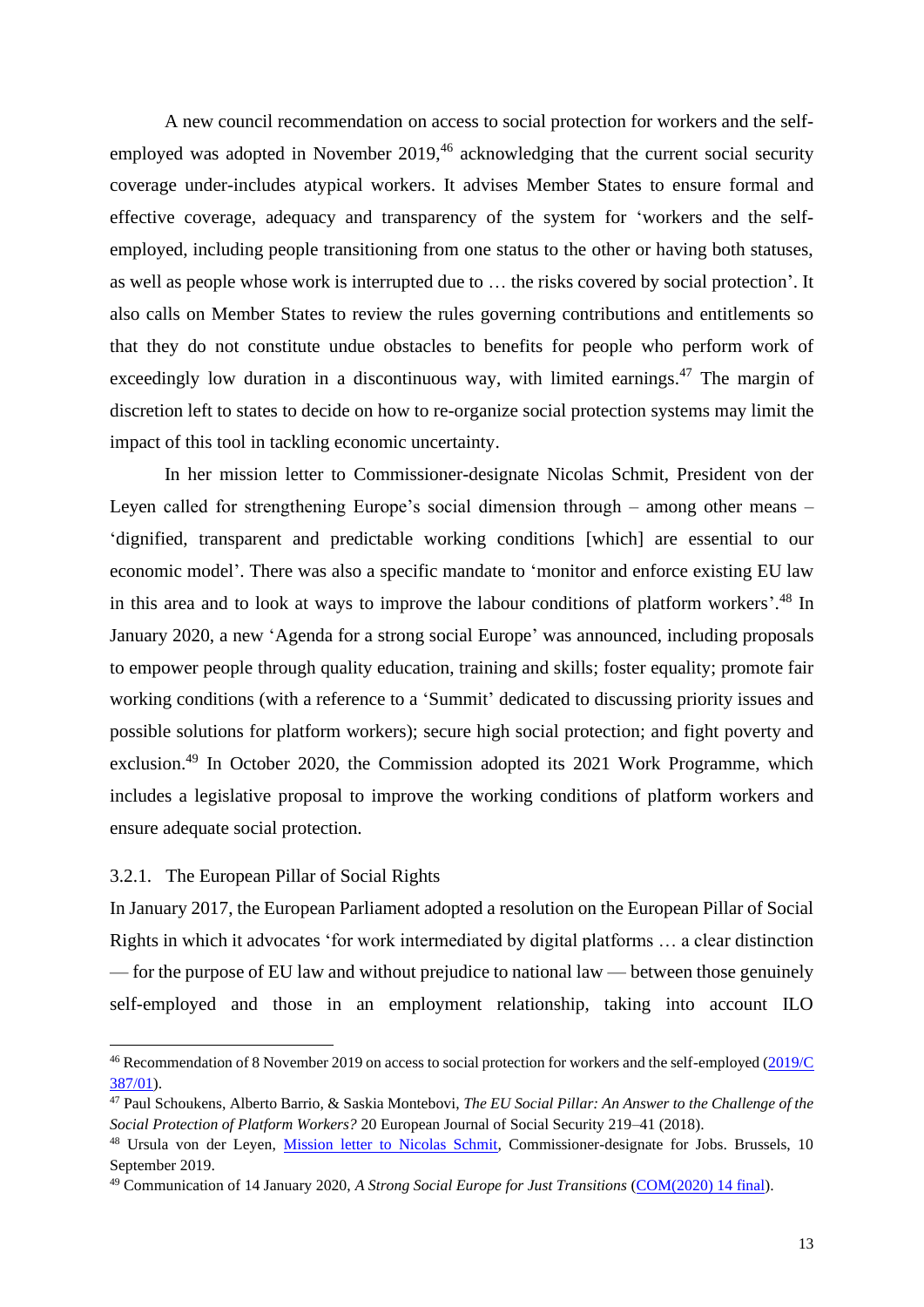A new council recommendation on access to social protection for workers and the selfemployed was adopted in November 2019,<sup>46</sup> acknowledging that the current social security coverage under-includes atypical workers. It advises Member States to ensure formal and effective coverage, adequacy and transparency of the system for 'workers and the selfemployed, including people transitioning from one status to the other or having both statuses, as well as people whose work is interrupted due to … the risks covered by social protection'. It also calls on Member States to review the rules governing contributions and entitlements so that they do not constitute undue obstacles to benefits for people who perform work of exceedingly low duration in a discontinuous way, with limited earnings.<sup>47</sup> The margin of discretion left to states to decide on how to re-organize social protection systems may limit the impact of this tool in tackling economic uncertainty.

In her mission letter to Commissioner-designate Nicolas Schmit, President von der Leyen called for strengthening Europe's social dimension through – among other means – 'dignified, transparent and predictable working conditions [which] are essential to our economic model'. There was also a specific mandate to 'monitor and enforce existing EU law in this area and to look at ways to improve the labour conditions of platform workers'. <sup>48</sup> In January 2020, a new 'Agenda for a strong social Europe' was announced, including proposals to empower people through quality education, training and skills; foster equality; promote fair working conditions (with a reference to a 'Summit' dedicated to discussing priority issues and possible solutions for platform workers); secure high social protection; and fight poverty and exclusion.<sup>49</sup> In October 2020, the Commission adopted its 2021 Work Programme, which includes a legislative proposal to improve the working conditions of platform workers and ensure adequate social protection.

#### 3.2.1. The European Pillar of Social Rights

In January 2017, the European Parliament adopted a resolution on the European Pillar of Social Rights in which it advocates 'for work intermediated by digital platforms … a clear distinction — for the purpose of EU law and without prejudice to national law — between those genuinely self-employed and those in an employment relationship, taking into account ILO

<sup>46</sup> Recommendation of 8 November 2019 on access to social protection for workers and the self-employed [\(2019/C](https://eur-lex.europa.eu/legal-content/EN/TXT/?uri=uriserv:OJ.C_.2019.387.01.0001.01.ENG&toc=OJ:C:2019:387:TOC)  [387/01\)](https://eur-lex.europa.eu/legal-content/EN/TXT/?uri=uriserv:OJ.C_.2019.387.01.0001.01.ENG&toc=OJ:C:2019:387:TOC).

<sup>47</sup> Paul Schoukens, Alberto Barrio, & Saskia Montebovi, *The EU Social Pillar: An Answer to the Challenge of the Social Protection of Platform Workers?* 20 European Journal of Social Security 219–41 (2018).

<sup>48</sup> Ursula von der Leyen, [Mission letter to Nicolas Schmit,](http://bit.ly/38FVfEs) Commissioner-designate for Jobs. Brussels, 10 September 2019.

<sup>49</sup> Communication of 14 January 2020, *A Strong Social Europe for Just Transitions* [\(COM\(2020\) 14 final\)](https://eur-lex.europa.eu/legal-content/EN/TXT/?uri=CELEX:52020DC0014&qid=1580400520904).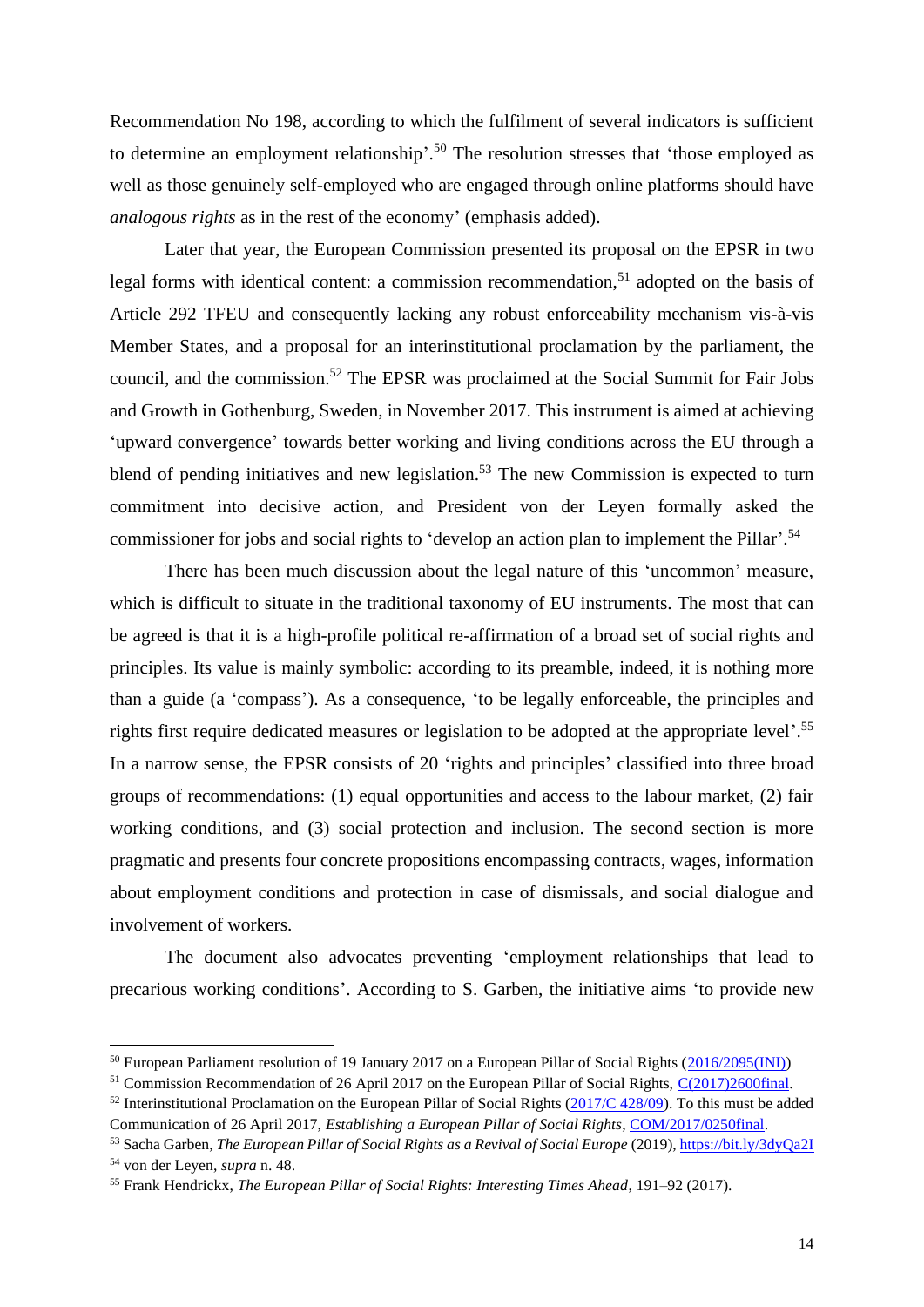Recommendation No 198, according to which the fulfilment of several indicators is sufficient to determine an employment relationship'.<sup>50</sup> The resolution stresses that 'those employed as well as those genuinely self-employed who are engaged through online platforms should have *analogous rights* as in the rest of the economy' (emphasis added).

Later that year, the European Commission presented its proposal on the EPSR in two legal forms with identical content: a commission recommendation,<sup>51</sup> adopted on the basis of Article 292 TFEU and consequently lacking any robust enforceability mechanism vis-à-vis Member States, and a proposal for an interinstitutional proclamation by the parliament, the council, and the commission. <sup>52</sup> The EPSR was proclaimed at the Social Summit for Fair Jobs and Growth in Gothenburg, Sweden, in November 2017. This instrument is aimed at achieving 'upward convergence' towards better working and living conditions across the EU through a blend of pending initiatives and new legislation.<sup>53</sup> The new Commission is expected to turn commitment into decisive action, and President von der Leyen formally asked the commissioner for jobs and social rights to 'develop an action plan to implement the Pillar'.<sup>54</sup>

There has been much discussion about the legal nature of this 'uncommon' measure, which is difficult to situate in the traditional taxonomy of EU instruments. The most that can be agreed is that it is a high-profile political re-affirmation of a broad set of social rights and principles. Its value is mainly symbolic: according to its preamble, indeed, it is nothing more than a guide (a 'compass'). As a consequence, 'to be legally enforceable, the principles and rights first require dedicated measures or legislation to be adopted at the appropriate level'. 55 In a narrow sense, the EPSR consists of 20 'rights and principles' classified into three broad groups of recommendations: (1) equal opportunities and access to the labour market, (2) fair working conditions, and (3) social protection and inclusion. The second section is more pragmatic and presents four concrete propositions encompassing contracts, wages, information about employment conditions and protection in case of dismissals, and social dialogue and involvement of workers.

The document also advocates preventing 'employment relationships that lead to precarious working conditions'. According to S. Garben, the initiative aims 'to provide new

<sup>50</sup> European Parliament resolution of 19 January 2017 on a European Pillar of Social Rights [\(2016/2095\(INI\)\)](https://eur-lex.europa.eu/legal-content/GA/TXT/?uri=CELEX%3A52017IP0010)

<sup>51</sup> Commission Recommendation of 26 April 2017 on the European Pillar of Social Rights, [C\(2017\)2600final.](http://eur-lex.europa.eu/legal-content/EN/ALL/?uri=COM:2017:0250:FIN)

 $52$  Interinstitutional Proclamation on the European Pillar of Social Rights [\(2017/C 428/09\)](https://eur-lex.europa.eu/legal-content/EN/TXT/PDF/?uri=CELEX:32017C1213(01)&from=EN). To this must be added Communication of 26 April 2017, *Establishing a European Pillar of Social Rights*, [COM/2017/0250final.](file:///C:/Users/Antonio.Aloisi/AppData/Roaming/Microsoft/Word/COM/2017/0250%20final)

<sup>53</sup> Sacha Garben, *The European Pillar of Social Rights as a Revival of Social Europe* (2019),<https://bit.ly/3dyQa2I> <sup>54</sup> von der Leyen, *supra* n. 48.

<sup>55</sup> Frank Hendrickx, *The European Pillar of Social Rights: Interesting Times Ahead*, 191–92 (2017).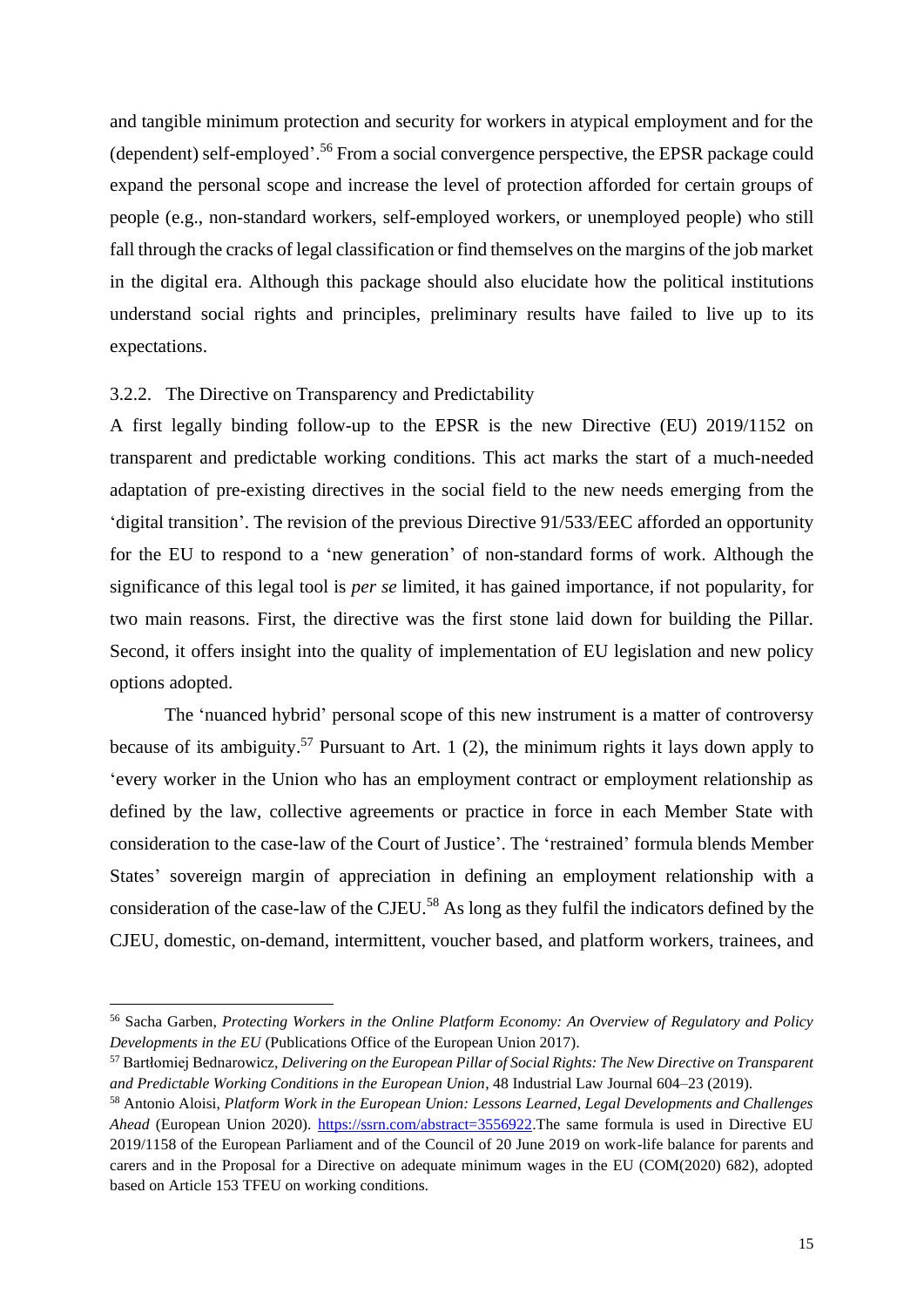and tangible minimum protection and security for workers in atypical employment and for the (dependent) self-employed'. <sup>56</sup> From a social convergence perspective, the EPSR package could expand the personal scope and increase the level of protection afforded for certain groups of people (e.g., non-standard workers, self-employed workers, or unemployed people) who still fall through the cracks of legal classification or find themselves on the margins of the job market in the digital era. Although this package should also elucidate how the political institutions understand social rights and principles, preliminary results have failed to live up to its expectations.

#### 3.2.2. The Directive on Transparency and Predictability

A first legally binding follow-up to the EPSR is the new Directive (EU) 2019/1152 on transparent and predictable working conditions. This act marks the start of a much-needed adaptation of pre-existing directives in the social field to the new needs emerging from the 'digital transition'. The revision of the previous Directive 91/533/EEC afforded an opportunity for the EU to respond to a 'new generation' of non-standard forms of work. Although the significance of this legal tool is *per se* limited, it has gained importance, if not popularity, for two main reasons. First, the directive was the first stone laid down for building the Pillar. Second, it offers insight into the quality of implementation of EU legislation and new policy options adopted.

The 'nuanced hybrid' personal scope of this new instrument is a matter of controversy because of its ambiguity.<sup>57</sup> Pursuant to Art. 1 (2), the minimum rights it lays down apply to 'every worker in the Union who has an employment contract or employment relationship as defined by the law, collective agreements or practice in force in each Member State with consideration to the case-law of the Court of Justice'. The 'restrained' formula blends Member States' sovereign margin of appreciation in defining an employment relationship with a consideration of the case-law of the CJEU.<sup>58</sup> As long as they fulfil the indicators defined by the CJEU, domestic, on-demand, intermittent, voucher based, and platform workers, trainees, and

<sup>56</sup> Sacha Garben, *Protecting Workers in the Online Platform Economy: An Overview of Regulatory and Policy Developments in the EU* (Publications Office of the European Union 2017).

<sup>57</sup> Bartłomiej Bednarowicz, *Delivering on the European Pillar of Social Rights: The New Directive on Transparent and Predictable Working Conditions in the European Union*, 48 Industrial Law Journal 604–23 (2019).

<sup>58</sup> Antonio Aloisi, *Platform Work in the European Union: Lessons Learned, Legal Developments and Challenges Ahead* (European Union 2020). [https://ssrn.com/abstract=3556922.](https://ssrn.com/abstract=3556922)The same formula is used in Directive EU 2019/1158 of the European Parliament and of the Council of 20 June 2019 on work-life balance for parents and carers and in the Proposal for a Directive on adequate minimum wages in the EU (COM(2020) 682), adopted based on Article 153 TFEU on working conditions.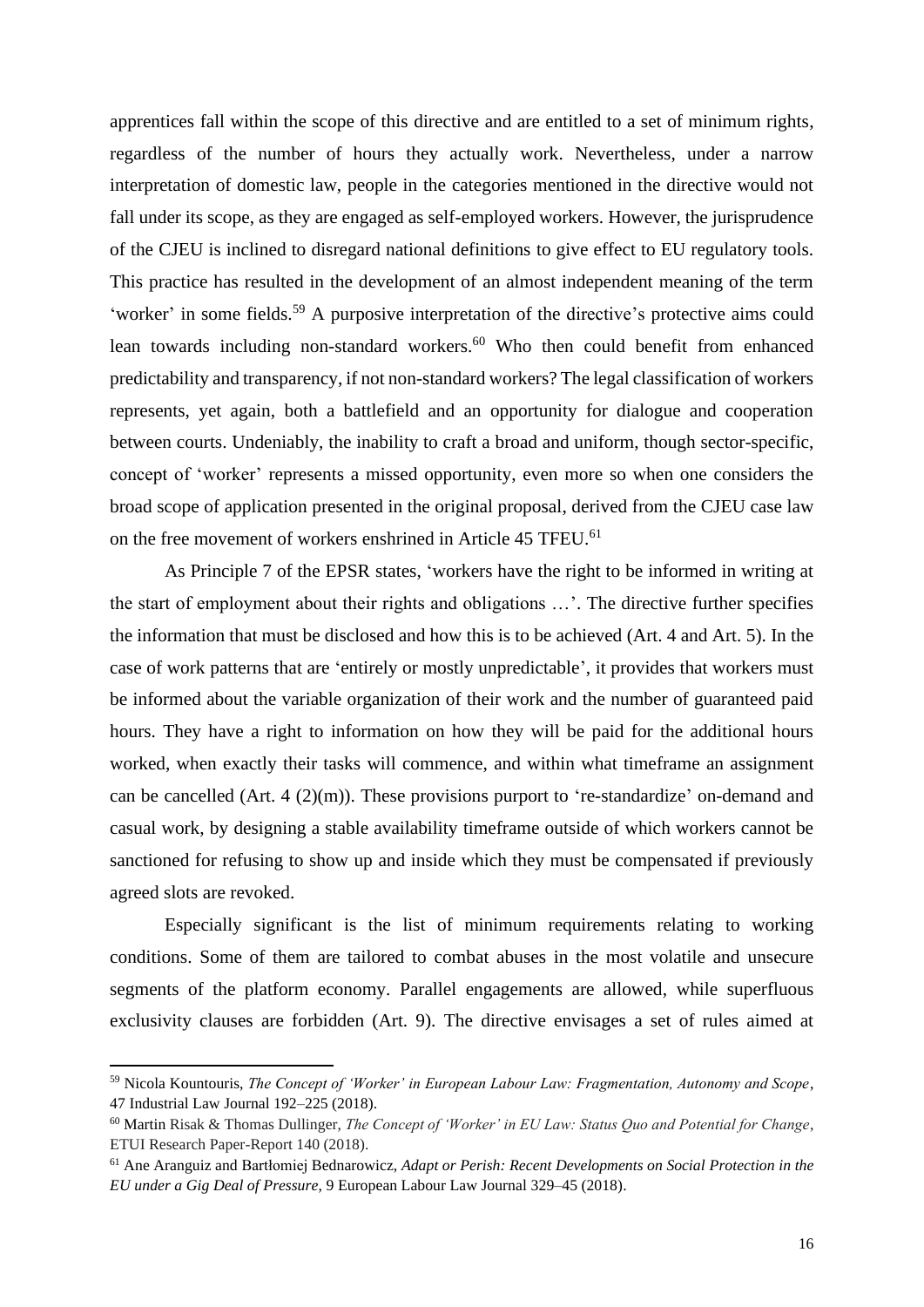apprentices fall within the scope of this directive and are entitled to a set of minimum rights, regardless of the number of hours they actually work. Nevertheless, under a narrow interpretation of domestic law, people in the categories mentioned in the directive would not fall under its scope, as they are engaged as self-employed workers. However, the jurisprudence of the CJEU is inclined to disregard national definitions to give effect to EU regulatory tools. This practice has resulted in the development of an almost independent meaning of the term 'worker' in some fields.<sup>59</sup> A purposive interpretation of the directive's protective aims could lean towards including non-standard workers. <sup>60</sup> Who then could benefit from enhanced predictability and transparency, if not non-standard workers? The legal classification of workers represents, yet again, both a battlefield and an opportunity for dialogue and cooperation between courts. Undeniably, the inability to craft a broad and uniform, though sector-specific, concept of 'worker' represents a missed opportunity, even more so when one considers the broad scope of application presented in the original proposal, derived from the CJEU case law on the free movement of workers enshrined in Article 45 TFEU.<sup>61</sup>

As Principle 7 of the EPSR states, 'workers have the right to be informed in writing at the start of employment about their rights and obligations …'. The directive further specifies the information that must be disclosed and how this is to be achieved (Art. 4 and Art. 5). In the case of work patterns that are 'entirely or mostly unpredictable', it provides that workers must be informed about the variable organization of their work and the number of guaranteed paid hours. They have a right to information on how they will be paid for the additional hours worked, when exactly their tasks will commence, and within what timeframe an assignment can be cancelled (Art. 4 (2)(m)). These provisions purport to 're-standardize' on-demand and casual work, by designing a stable availability timeframe outside of which workers cannot be sanctioned for refusing to show up and inside which they must be compensated if previously agreed slots are revoked.

Especially significant is the list of minimum requirements relating to working conditions. Some of them are tailored to combat abuses in the most volatile and unsecure segments of the platform economy. Parallel engagements are allowed, while superfluous exclusivity clauses are forbidden (Art. 9). The directive envisages a set of rules aimed at

<sup>59</sup> Nicola Kountouris, *The Concept of 'Worker' in European Labour Law: Fragmentation, Autonomy and Scope*, 47 Industrial Law Journal 192–225 (2018).

<sup>60</sup> Martin Risak & Thomas Dullinger, *The Concept of 'Worker' in EU Law: Status Quo and Potential for Change*, ETUI Research Paper-Report 140 (2018).

<sup>61</sup> Ane Aranguiz and Bartłomiej Bednarowicz, *Adapt or Perish: Recent Developments on Social Protection in the EU under a Gig Deal of Pressure*, 9 European Labour Law Journal 329–45 (2018).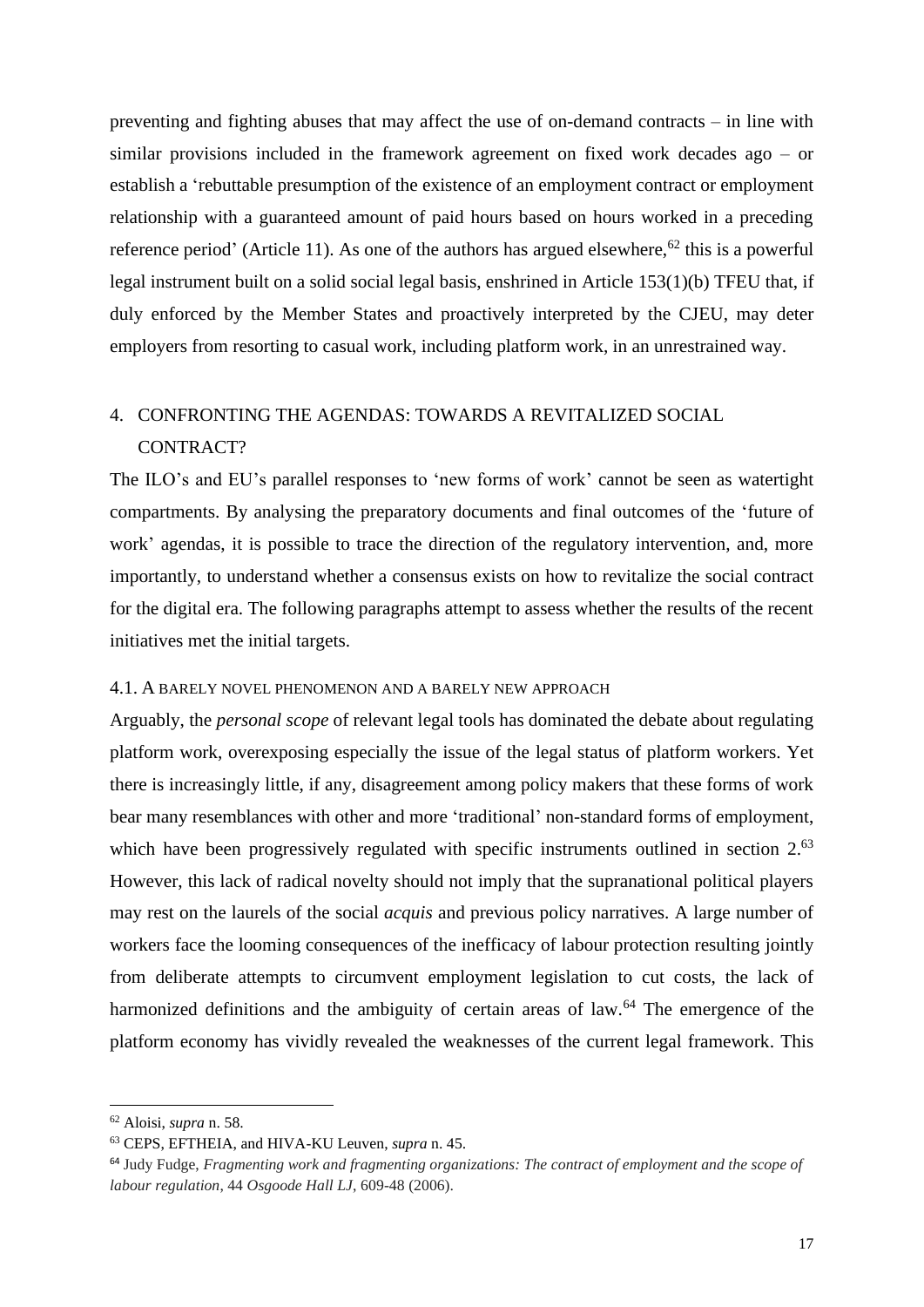preventing and fighting abuses that may affect the use of on-demand contracts – in line with similar provisions included in the framework agreement on fixed work decades ago – or establish a 'rebuttable presumption of the existence of an employment contract or employment relationship with a guaranteed amount of paid hours based on hours worked in a preceding reference period' (Article 11). As one of the authors has argued elsewhere,<sup>62</sup> this is a powerful legal instrument built on a solid social legal basis, enshrined in Article 153(1)(b) TFEU that, if duly enforced by the Member States and proactively interpreted by the CJEU, may deter employers from resorting to casual work, including platform work, in an unrestrained way.

### 4. CONFRONTING THE AGENDAS: TOWARDS A REVITALIZED SOCIAL CONTRACT?

The ILO's and EU's parallel responses to 'new forms of work' cannot be seen as watertight compartments. By analysing the preparatory documents and final outcomes of the 'future of work' agendas, it is possible to trace the direction of the regulatory intervention, and, more importantly, to understand whether a consensus exists on how to revitalize the social contract for the digital era. The following paragraphs attempt to assess whether the results of the recent initiatives met the initial targets.

#### 4.1. A BARELY NOVEL PHENOMENON AND A BARELY NEW APPROACH

Arguably, the *personal scope* of relevant legal tools has dominated the debate about regulating platform work, overexposing especially the issue of the legal status of platform workers. Yet there is increasingly little, if any, disagreement among policy makers that these forms of work bear many resemblances with other and more 'traditional' non-standard forms of employment, which have been progressively regulated with specific instruments outlined in section 2.<sup>63</sup> However, this lack of radical novelty should not imply that the supranational political players may rest on the laurels of the social *acquis* and previous policy narratives. A large number of workers face the looming consequences of the inefficacy of labour protection resulting jointly from deliberate attempts to circumvent employment legislation to cut costs, the lack of harmonized definitions and the ambiguity of certain areas of law.<sup>64</sup> The emergence of the platform economy has vividly revealed the weaknesses of the current legal framework. This

<sup>62</sup> Aloisi, *supra* n. 58.

<sup>63</sup> CEPS, EFTHEIA, and HIVA-KU Leuven, *supra* n. 45.

<sup>64</sup> Judy Fudge, *Fragmenting work and fragmenting organizations: The contract of employment and the scope of labour regulation*, 44 *Osgoode Hall LJ*, 609-48 (2006).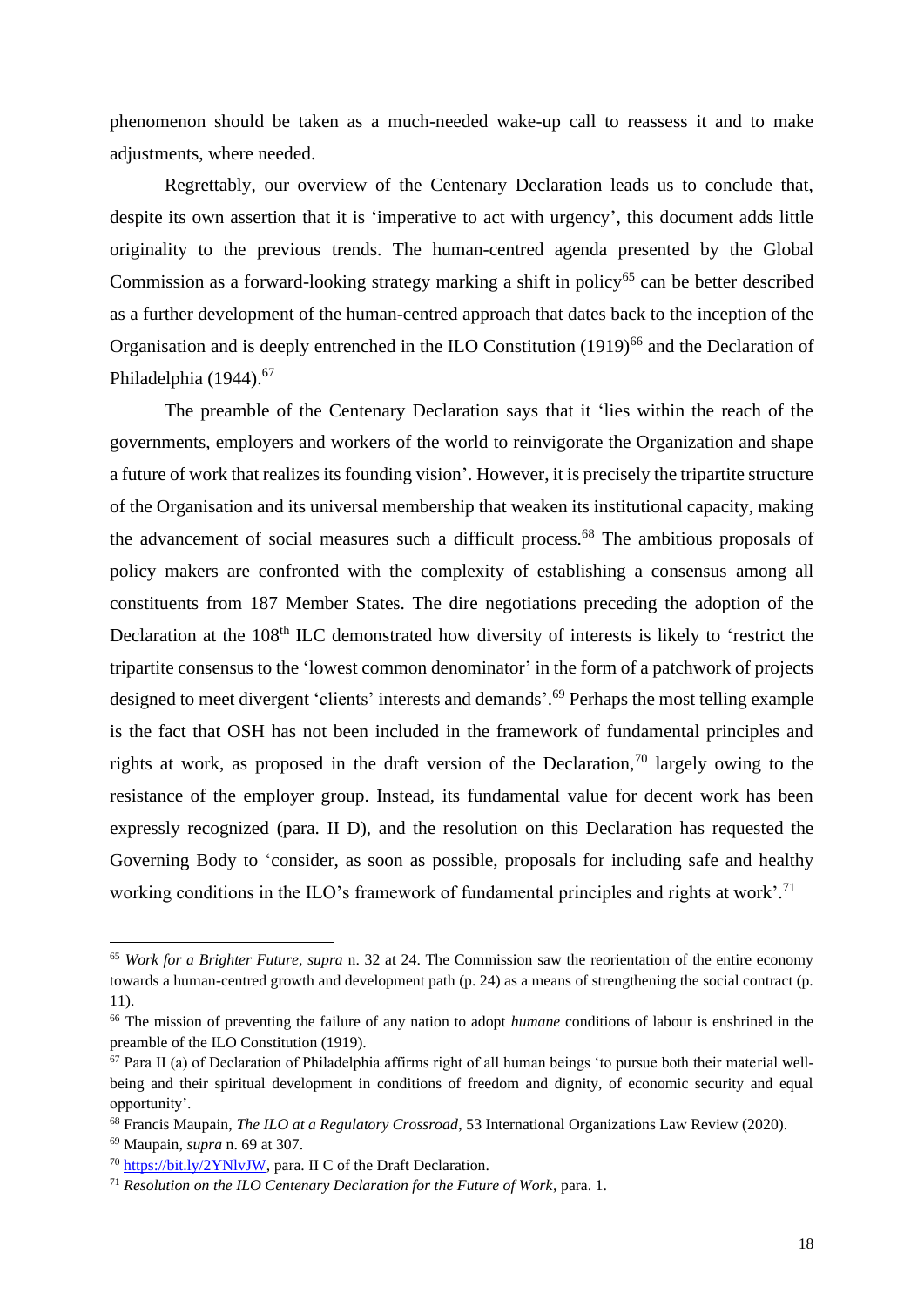phenomenon should be taken as a much-needed wake-up call to reassess it and to make adjustments, where needed.

Regrettably, our overview of the Centenary Declaration leads us to conclude that, despite its own assertion that it is 'imperative to act with urgency', this document adds little originality to the previous trends. The human-centred agenda presented by the Global Commission as a forward-looking strategy marking a shift in policy<sup>65</sup> can be better described as a further development of the human-centred approach that dates back to the inception of the Organisation and is deeply entrenched in the ILO Constitution (1919)<sup>66</sup> and the Declaration of Philadelphia (1944).<sup>67</sup>

The preamble of the Centenary Declaration says that it 'lies within the reach of the governments, employers and workers of the world to reinvigorate the Organization and shape a future of work that realizes its founding vision'. However, it is precisely the tripartite structure of the Organisation and its universal membership that weaken its institutional capacity, making the advancement of social measures such a difficult process.<sup>68</sup> The ambitious proposals of policy makers are confronted with the complexity of establishing a consensus among all constituents from 187 Member States. The dire negotiations preceding the adoption of the Declaration at the 108<sup>th</sup> ILC demonstrated how diversity of interests is likely to 'restrict the tripartite consensus to the 'lowest common denominator' in the form of a patchwork of projects designed to meet divergent 'clients' interests and demands'. <sup>69</sup> Perhaps the most telling example is the fact that OSH has not been included in the framework of fundamental principles and rights at work, as proposed in the draft version of the Declaration,<sup>70</sup> largely owing to the resistance of the employer group. Instead, its fundamental value for decent work has been expressly recognized (para. II D), and the resolution on this Declaration has requested the Governing Body to 'consider, as soon as possible, proposals for including safe and healthy working conditions in the ILO's framework of fundamental principles and rights at work'.<sup>71</sup>

<sup>65</sup> *Work for a Brighter Future*, *supra* n. 32 at 24. The Commission saw the reorientation of the entire economy towards a human-centred growth and development path (p. 24) as a means of strengthening the social contract (p. 11).

<sup>66</sup> The mission of preventing the failure of any nation to adopt *humane* conditions of labour is enshrined in the preamble of the ILO Constitution (1919).

 $67$  Para II (a) of Declaration of Philadelphia affirms right of all human beings 'to pursue both their material wellbeing and their spiritual development in conditions of freedom and dignity, of economic security and equal opportunity'.

<sup>68</sup> Francis Maupain, *The ILO at a Regulatory Crossroad*, 53 International Organizations Law Review (2020).

<sup>69</sup> Maupain, *supra* n. 69 at 307.

<sup>70</sup> [https://bit.ly/2YNlvJW,](https://bit.ly/2YNlvJW) para. II C of the Draft Declaration.

<sup>71</sup> *[Resolution on the ILO Centenary Declaration for the Future of Work](https://www.ilo.org/wcmsp5/groups/public/---ed_norm/---relconf/documents/meetingdocument/wcms_711659.pdf)*, para. 1.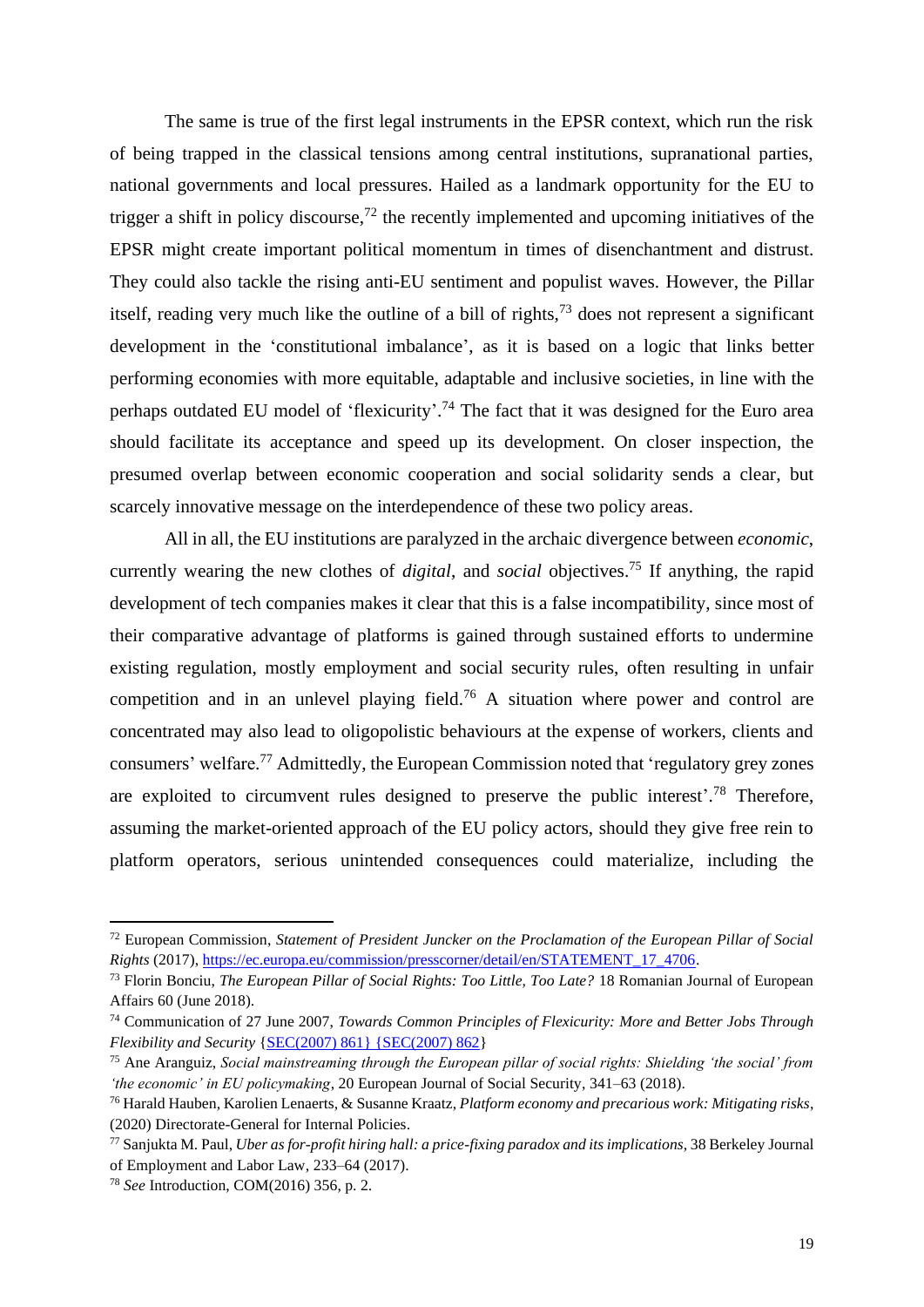The same is true of the first legal instruments in the EPSR context, which run the risk of being trapped in the classical tensions among central institutions, supranational parties, national governments and local pressures. Hailed as a landmark opportunity for the EU to trigger a shift in policy discourse,<sup>72</sup> the recently implemented and upcoming initiatives of the EPSR might create important political momentum in times of disenchantment and distrust. They could also tackle the rising anti-EU sentiment and populist waves. However, the Pillar itself, reading very much like the outline of a bill of rights,  $73$  does not represent a significant development in the 'constitutional imbalance', as it is based on a logic that links better performing economies with more equitable, adaptable and inclusive societies, in line with the perhaps outdated EU model of 'flexicurity'.<sup>74</sup> The fact that it was designed for the Euro area should facilitate its acceptance and speed up its development. On closer inspection, the presumed overlap between economic cooperation and social solidarity sends a clear, but scarcely innovative message on the interdependence of these two policy areas.

All in all, the EU institutions are paralyzed in the archaic divergence between *economic*, currently wearing the new clothes of *digital*, and *social* objectives. <sup>75</sup> If anything, the rapid development of tech companies makes it clear that this is a false incompatibility, since most of their comparative advantage of platforms is gained through sustained efforts to undermine existing regulation, mostly employment and social security rules, often resulting in unfair competition and in an unlevel playing field.<sup>76</sup> A situation where power and control are concentrated may also lead to oligopolistic behaviours at the expense of workers, clients and consumers' welfare.<sup>77</sup> Admittedly, the European Commission noted that 'regulatory grey zones are exploited to circumvent rules designed to preserve the public interest'.<sup>78</sup> Therefore, assuming the market-oriented approach of the EU policy actors, should they give free rein to platform operators, serious unintended consequences could materialize, including the

<sup>72</sup> European Commission, *Statement of President Juncker on the Proclamation of the European Pillar of Social Rights* (2017)[, https://ec.europa.eu/commission/presscorner/detail/en/STATEMENT\\_17\\_4706.](https://ec.europa.eu/commission/presscorner/detail/en/STATEMENT_17_4706)

<sup>73</sup> Florin Bonciu, *The European Pillar of Social Rights: Too Little, Too Late?* 18 Romanian Journal of European Affairs 60 (June 2018).

<sup>74</sup> Communication of 27 June 2007, *Towards Common Principles of Flexicurity: More and Better Jobs Through Flexibility and Security* [{SEC\(2007\) 861} {SEC\(2007\) 862}](https://eur-lex.europa.eu/legal-content/EN/ALL/?uri=CELEX:52007DC0359)

<sup>75</sup> Ane Aranguiz, *Social mainstreaming through the European pillar of social rights: Shielding 'the social' from 'the economic' in EU policymaking*, 20 European Journal of Social Security, 341–63 (2018).

<sup>76</sup> Harald Hauben, Karolien Lenaerts, & Susanne Kraatz, *Platform economy and precarious work: Mitigating risks*, (2020) Directorate-General for Internal Policies.

<sup>77</sup> Sanjukta M. Paul, *Uber as for-profit hiring hall: a price-fixing paradox and its implications*, 38 Berkeley Journal of Employment and Labor Law, 233–64 (2017).

<sup>78</sup> *See* Introduction, COM(2016) 356, p. 2.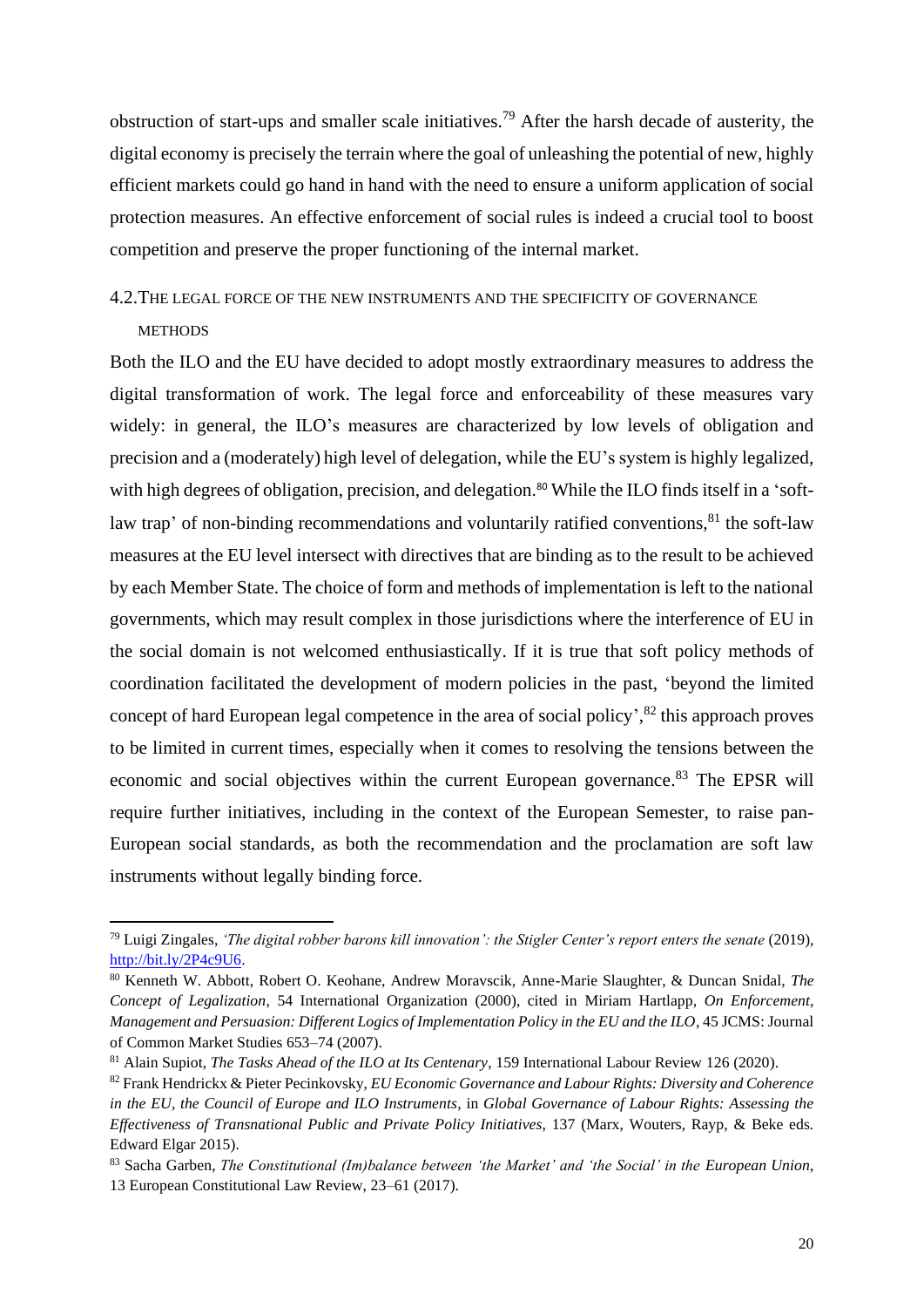obstruction of start-ups and smaller scale initiatives.<sup>79</sup> After the harsh decade of austerity, the digital economy is precisely the terrain where the goal of unleashing the potential of new, highly efficient markets could go hand in hand with the need to ensure a uniform application of social protection measures. An effective enforcement of social rules is indeed a crucial tool to boost competition and preserve the proper functioning of the internal market.

#### 4.2.THE LEGAL FORCE OF THE NEW INSTRUMENTS AND THE SPECIFICITY OF GOVERNANCE

#### **METHODS**

Both the ILO and the EU have decided to adopt mostly extraordinary measures to address the digital transformation of work. The legal force and enforceability of these measures vary widely: in general, the ILO's measures are characterized by low levels of obligation and precision and a (moderately) high level of delegation, while the EU's system is highly legalized, with high degrees of obligation, precision, and delegation.<sup>80</sup> While the ILO finds itself in a 'softlaw trap' of non-binding recommendations and voluntarily ratified conventions,  $81$  the soft-law measures at the EU level intersect with directives that are binding as to the result to be achieved by each Member State. The choice of form and methods of implementation is left to the national governments, which may result complex in those jurisdictions where the interference of EU in the social domain is not welcomed enthusiastically. If it is true that soft policy methods of coordination facilitated the development of modern policies in the past, 'beyond the limited concept of hard European legal competence in the area of social policy',<sup>82</sup> this approach proves to be limited in current times, especially when it comes to resolving the tensions between the economic and social objectives within the current European governance.<sup>83</sup> The EPSR will require further initiatives, including in the context of the European Semester, to raise pan-European social standards, as both the recommendation and the proclamation are soft law instruments without legally binding force.

<sup>79</sup> Luigi Zingales, *'The digital robber barons kill innovation': the Stigler Center's report enters the senate* (2019), [http://bit.ly/2P4c9U6.](http://bit.ly/2P4c9U6)

<sup>80</sup> Kenneth W. Abbott, Robert O. Keohane, Andrew Moravscik, Anne-Marie Slaughter, & Duncan Snidal, *The Concept of Legalization*, 54 International Organization (2000), cited in Miriam Hartlapp, *On Enforcement, Management and Persuasion: Different Logics of Implementation Policy in the EU and the ILO*, 45 JCMS: Journal of Common Market Studies 653–74 (2007).

<sup>81</sup> Alain Supiot, *The Tasks Ahead of the ILO at Its Centenary*, 159 International Labour Review 126 (2020).

<sup>82</sup> Frank Hendrickx & Pieter Pecinkovsky, *EU Economic Governance and Labour Rights: Diversity and Coherence in the EU, the Council of Europe and ILO Instruments*, in *Global Governance of Labour Rights: Assessing the Effectiveness of Transnational Public and Private Policy Initiatives*, 137 (Marx, Wouters, Rayp, & Beke eds. Edward Elgar 2015).

<sup>83</sup> Sacha Garben, *The Constitutional (Im)balance between 'the Market' and 'the Social' in the European Union*, 13 European Constitutional Law Review, 23–61 (2017).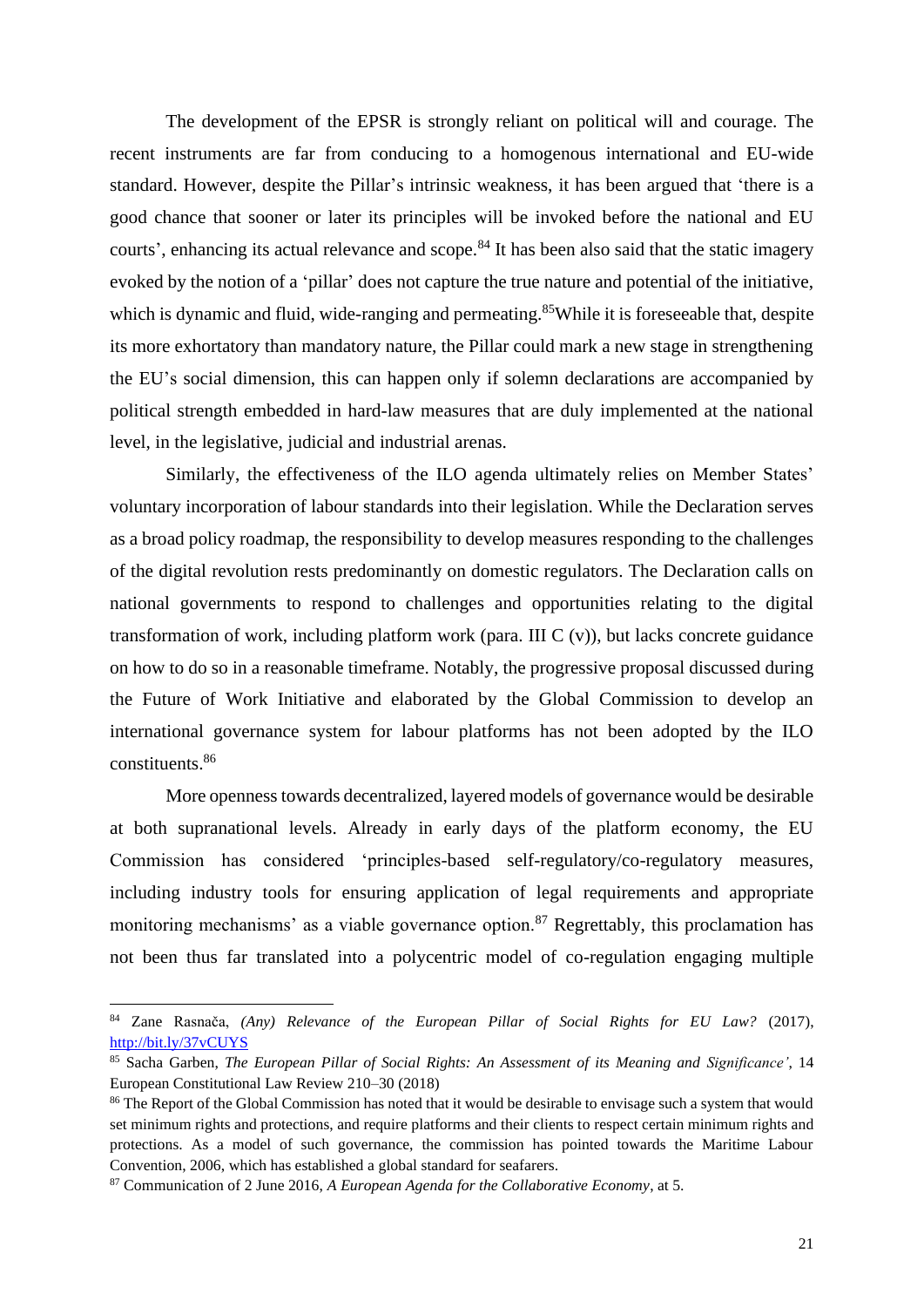The development of the EPSR is strongly reliant on political will and courage. The recent instruments are far from conducing to a homogenous international and EU-wide standard. However, despite the Pillar's intrinsic weakness, it has been argued that 'there is a good chance that sooner or later its principles will be invoked before the national and EU courts', enhancing its actual relevance and scope.<sup>84</sup> It has been also said that the static imagery evoked by the notion of a 'pillar' does not capture the true nature and potential of the initiative, which is dynamic and fluid, wide-ranging and permeating.<sup>85</sup>While it is foreseeable that, despite its more exhortatory than mandatory nature, the Pillar could mark a new stage in strengthening the EU's social dimension, this can happen only if solemn declarations are accompanied by political strength embedded in hard-law measures that are duly implemented at the national level, in the legislative, judicial and industrial arenas.

Similarly, the effectiveness of the ILO agenda ultimately relies on Member States' voluntary incorporation of labour standards into their legislation. While the Declaration serves as a broad policy roadmap, the responsibility to develop measures responding to the challenges of the digital revolution rests predominantly on domestic regulators. The Declaration calls on national governments to respond to challenges and opportunities relating to the digital transformation of work, including platform work (para. III C (v)), but lacks concrete guidance on how to do so in a reasonable timeframe. Notably, the progressive proposal discussed during the Future of Work Initiative and elaborated by the Global Commission to develop an international governance system for labour platforms has not been adopted by the ILO constituents.<sup>86</sup>

More openness towards decentralized, layered models of governance would be desirable at both supranational levels. Already in early days of the platform economy, the EU Commission has considered 'principles-based self-regulatory/co-regulatory measures, including industry tools for ensuring application of legal requirements and appropriate monitoring mechanisms' as a viable governance option.<sup>87</sup> Regrettably, this proclamation has not been thus far translated into a polycentric model of co-regulation engaging multiple

<sup>84</sup> Zane Rasnača, *(Any) Relevance of the European Pillar of Social Rights for EU Law?* (2017), <http://bit.ly/37vCUYS>

<sup>85</sup> Sacha Garben, *The European Pillar of Social Rights: An Assessment of its Meaning and Significance'*, 14 European Constitutional Law Review 210–30 (2018)

<sup>&</sup>lt;sup>86</sup> The Report of the Global Commission has noted that it would be desirable to envisage such a system that would set minimum rights and protections, and require platforms and their clients to respect certain minimum rights and protections. As a model of such governance, the commission has pointed towards the Maritime Labour Convention, 2006, which has established a global standard for seafarers.

<sup>87</sup> Communication of 2 June 2016, *A European Agenda for the Collaborative Economy*, at 5.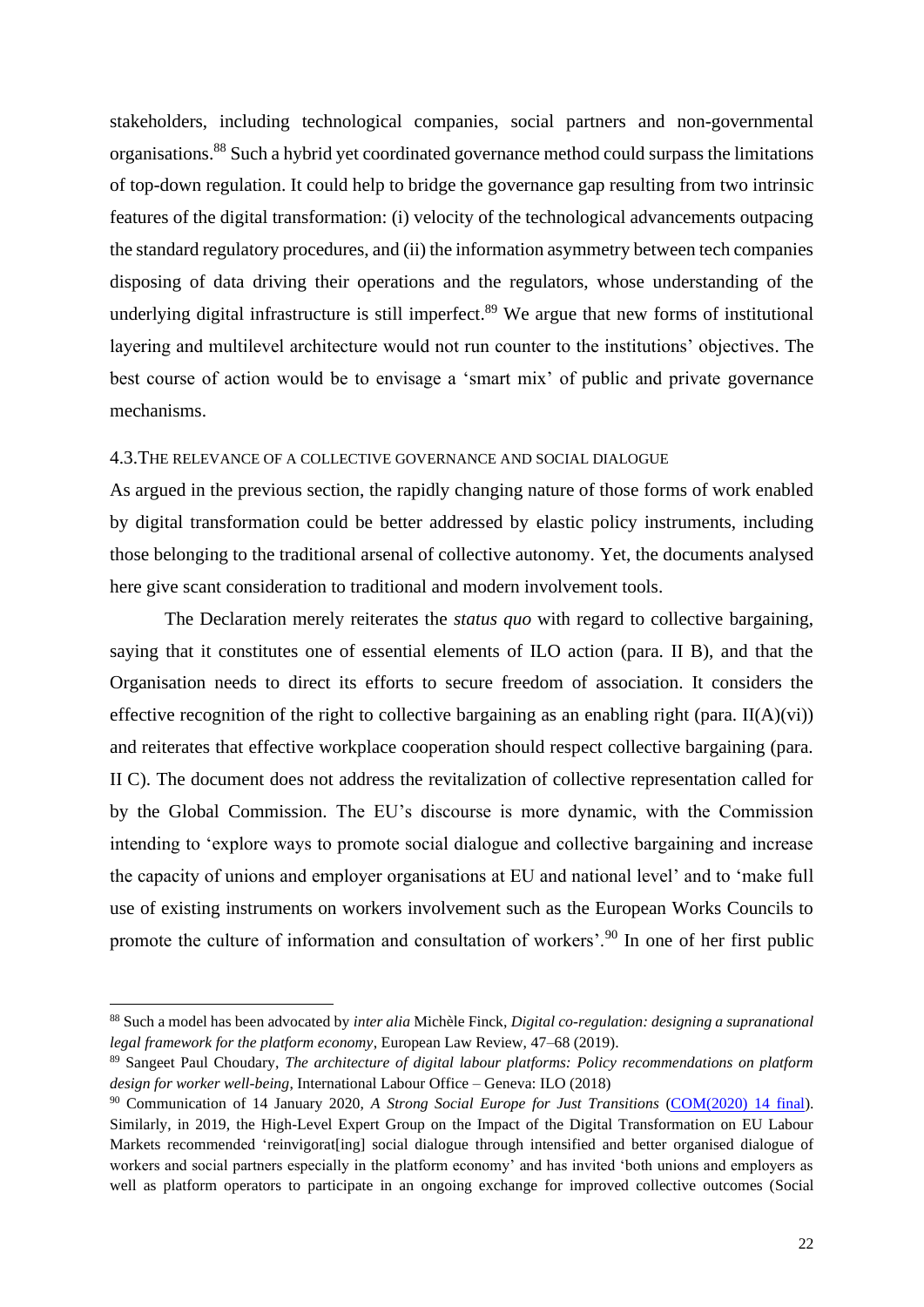stakeholders, including technological companies, social partners and non-governmental organisations.<sup>88</sup> Such a hybrid yet coordinated governance method could surpass the limitations of top-down regulation. It could help to bridge the governance gap resulting from two intrinsic features of the digital transformation: (i) velocity of the technological advancements outpacing the standard regulatory procedures, and (ii) the information asymmetry between tech companies disposing of data driving their operations and the regulators, whose understanding of the underlying digital infrastructure is still imperfect.<sup>89</sup> We argue that new forms of institutional layering and multilevel architecture would not run counter to the institutions' objectives. The best course of action would be to envisage a 'smart mix' of public and private governance mechanisms.

#### 4.3.THE RELEVANCE OF A COLLECTIVE GOVERNANCE AND SOCIAL DIALOGUE

As argued in the previous section, the rapidly changing nature of those forms of work enabled by digital transformation could be better addressed by elastic policy instruments, including those belonging to the traditional arsenal of collective autonomy. Yet, the documents analysed here give scant consideration to traditional and modern involvement tools.

The Declaration merely reiterates the *status quo* with regard to collective bargaining, saying that it constitutes one of essential elements of ILO action (para. II B), and that the Organisation needs to direct its efforts to secure freedom of association. It considers the effective recognition of the right to collective bargaining as an enabling right (para.  $II(A)(vi)$ ) and reiterates that effective workplace cooperation should respect collective bargaining (para. II C). The document does not address the revitalization of collective representation called for by the Global Commission. The EU's discourse is more dynamic, with the Commission intending to 'explore ways to promote social dialogue and collective bargaining and increase the capacity of unions and employer organisations at EU and national level' and to 'make full use of existing instruments on workers involvement such as the European Works Councils to promote the culture of information and consultation of workers'.<sup>90</sup> In one of her first public

<sup>88</sup> Such a model has been advocated by *inter alia* Michèle Finck, *Digital co-regulation: designing a supranational legal framework for the platform economy*, European Law Review, 47–68 (2019).

<sup>89</sup> Sangeet Paul Choudary, *The architecture of digital labour platforms: Policy recommendations on platform design for worker well-being*, International Labour Office – Geneva: ILO (2018)

<sup>90</sup> Communication of 14 January 2020, *A Strong Social Europe for Just Transitions* [\(COM\(2020\) 14 final\)](https://eur-lex.europa.eu/legal-content/EN/TXT/?uri=CELEX:52020DC0014&qid=1580400520904). Similarly, in 2019, the High-Level Expert Group on the Impact of the Digital Transformation on EU Labour Markets recommended 'reinvigorat[ing] social dialogue through intensified and better organised dialogue of workers and social partners especially in the platform economy' and has invited 'both unions and employers as well as platform operators to participate in an ongoing exchange for improved collective outcomes (Social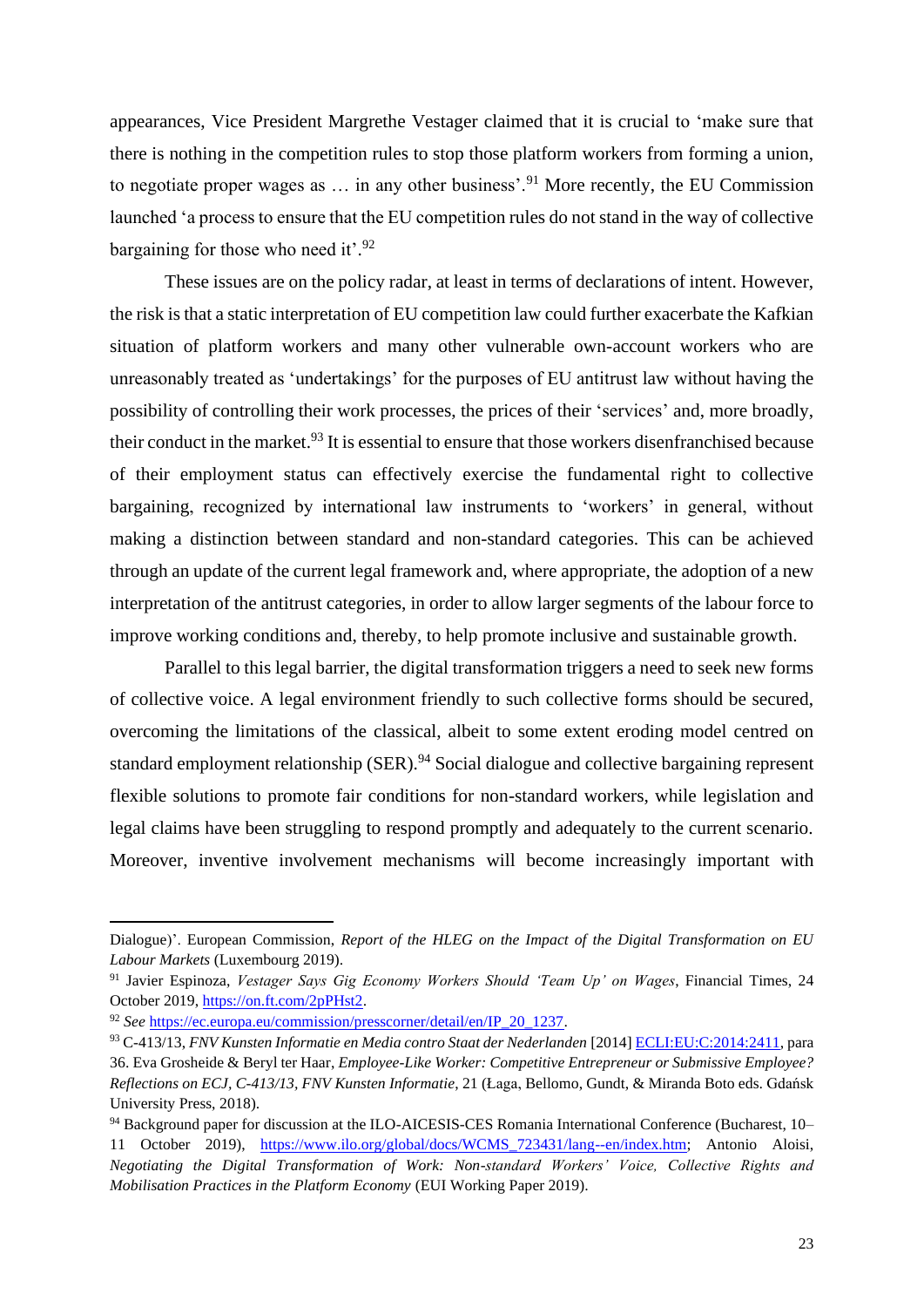appearances, Vice President Margrethe Vestager claimed that it is crucial to 'make sure that there is nothing in the competition rules to stop those platform workers from forming a union, to negotiate proper wages as  $\ldots$  in any other business'.<sup>91</sup> More recently, the EU Commission launched 'a process to ensure that the EU competition rules do not stand in the way of collective bargaining for those who need it'.<sup>92</sup>

These issues are on the policy radar, at least in terms of declarations of intent. However, the risk is that a static interpretation of EU competition law could further exacerbate the Kafkian situation of platform workers and many other vulnerable own-account workers who are unreasonably treated as 'undertakings' for the purposes of EU antitrust law without having the possibility of controlling their work processes, the prices of their 'services' and, more broadly, their conduct in the market.<sup>93</sup> It is essential to ensure that those workers disenfranchised because of their employment status can effectively exercise the fundamental right to collective bargaining, recognized by international law instruments to 'workers' in general, without making a distinction between standard and non-standard categories. This can be achieved through an update of the current legal framework and, where appropriate, the adoption of a new interpretation of the antitrust categories, in order to allow larger segments of the labour force to improve working conditions and, thereby, to help promote inclusive and sustainable growth.

Parallel to this legal barrier, the digital transformation triggers a need to seek new forms of collective voice. A legal environment friendly to such collective forms should be secured, overcoming the limitations of the classical, albeit to some extent eroding model centred on standard employment relationship (SER).<sup>94</sup> Social dialogue and collective bargaining represent flexible solutions to promote fair conditions for non-standard workers, while legislation and legal claims have been struggling to respond promptly and adequately to the current scenario. Moreover, inventive involvement mechanisms will become increasingly important with

Dialogue)'. European Commission, *Report of the HLEG on the Impact of the Digital Transformation on EU Labour Markets* (Luxembourg 2019).

<sup>91</sup> Javier Espinoza, *Vestager Says Gig Economy Workers Should 'Team Up' on Wages*, Financial Times, 24 October 2019[, https://on.ft.com/2pPHst2.](https://on.ft.com/2pPHst2)

<sup>92</sup> *See* [https://ec.europa.eu/commission/presscorner/detail/en/IP\\_20\\_1237.](https://ec.europa.eu/commission/presscorner/detail/en/IP_20_1237)

<sup>93</sup> C-413/13, *FNV Kunsten Informatie en Media contro Staat der Nederlanden* [2014[\] ECLI:EU:C:2014:2411,](https://eur-lex.europa.eu/legal-content/IT/ALL/?uri=CELEX%3A62013CJ0413) para 36. Eva Grosheide & Beryl ter Haar, *Employee-Like Worker: Competitive Entrepreneur or Submissive Employee? Reflections on ECJ, C-413/13, FNV Kunsten Informatie*, 21 (Łaga, Bellomo, Gundt, & Miranda Boto eds. Gdańsk University Press, 2018).

<sup>94</sup> Background paper for discussion at the ILO-AICESIS-CES Romania International Conference (Bucharest, 10– 11 October 2019), [https://www.ilo.org/global/docs/WCMS\\_723431/lang--en/index.htm;](https://www.ilo.org/global/docs/WCMS_723431/lang--en/index.htm) Antonio Aloisi, *Negotiating the Digital Transformation of Work: Non-standard Workers' Voice, Collective Rights and Mobilisation Practices in the Platform Economy* (EUI Working Paper 2019).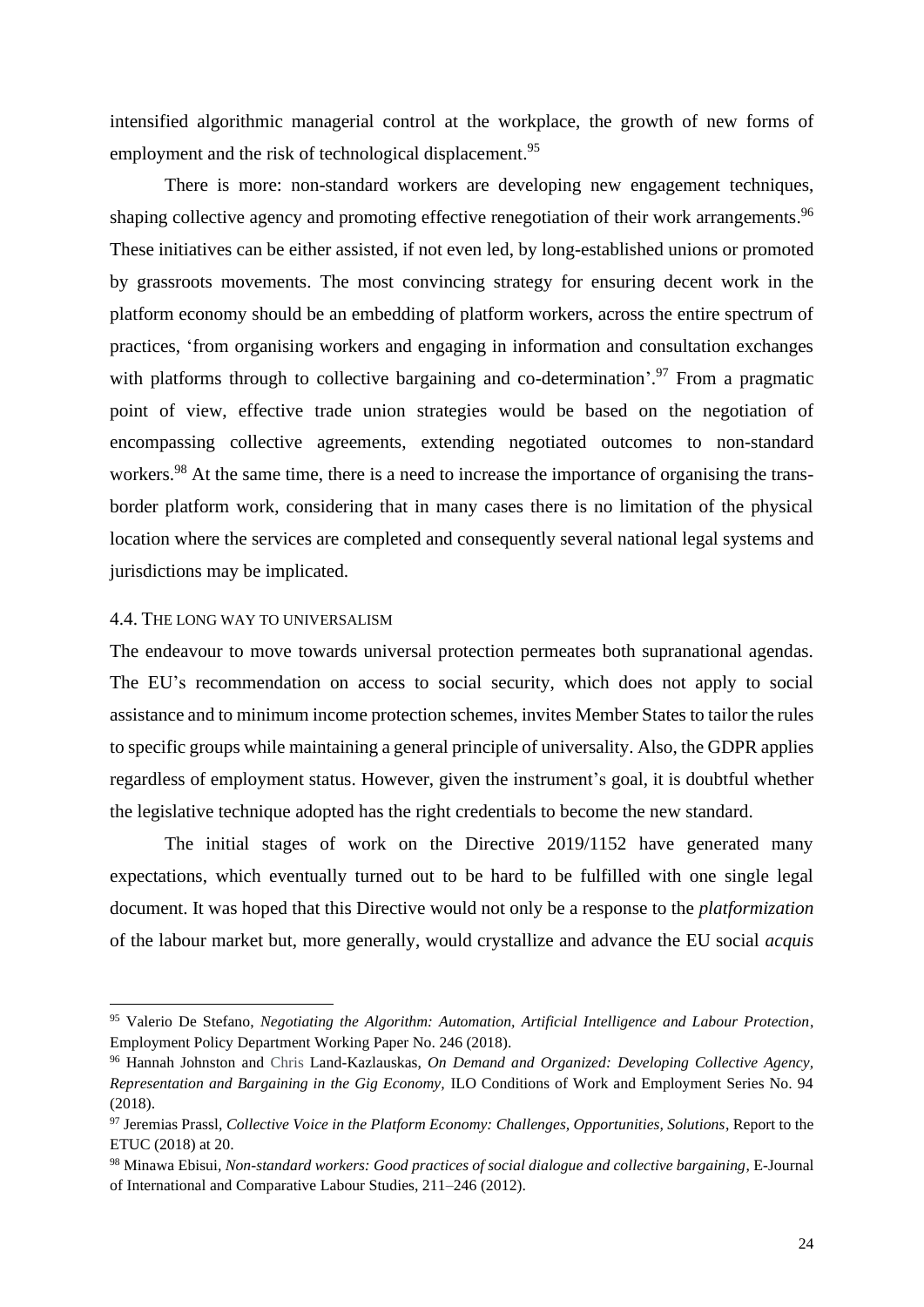intensified algorithmic managerial control at the workplace, the growth of new forms of employment and the risk of technological displacement.<sup>95</sup>

There is more: non-standard workers are developing new engagement techniques, shaping collective agency and promoting effective renegotiation of their work arrangements.<sup>96</sup> These initiatives can be either assisted, if not even led, by long-established unions or promoted by grassroots movements. The most convincing strategy for ensuring decent work in the platform economy should be an embedding of platform workers, across the entire spectrum of practices, 'from organising workers and engaging in information and consultation exchanges with platforms through to collective bargaining and co-determination'.<sup>97</sup> From a pragmatic point of view, effective trade union strategies would be based on the negotiation of encompassing collective agreements, extending negotiated outcomes to non-standard workers.<sup>98</sup> At the same time, there is a need to increase the importance of organising the transborder platform work, considering that in many cases there is no limitation of the physical location where the services are completed and consequently several national legal systems and jurisdictions may be implicated.

#### 4.4. THE LONG WAY TO UNIVERSALISM

The endeavour to move towards universal protection permeates both supranational agendas. The EU's recommendation on access to social security, which does not apply to social assistance and to minimum income protection schemes, invites Member States to tailor the rules to specific groups while maintaining a general principle of universality. Also, the GDPR applies regardless of employment status. However, given the instrument's goal, it is doubtful whether the legislative technique adopted has the right credentials to become the new standard.

The initial stages of work on the Directive 2019/1152 have generated many expectations, which eventually turned out to be hard to be fulfilled with one single legal document. It was hoped that this Directive would not only be a response to the *platformization* of the labour market but, more generally, would crystallize and advance the EU social *acquis*

<sup>95</sup> Valerio De Stefano, *Negotiating the Algorithm: Automation, Artificial Intelligence and Labour Protection*, Employment Policy Department Working Paper No. 246 (2018).

<sup>96</sup> Hannah Johnston and Chris Land-Kazlauskas, *On Demand and Organized: Developing Collective Agency, Representation and Bargaining in the Gig Economy,* ILO Conditions of Work and Employment Series No. 94 (2018).

<sup>97</sup> Jeremias Prassl, *Collective Voice in the Platform Economy: Challenges, Opportunities, Solutions*, Report to the ETUC (2018) at 20.

<sup>98</sup> Minawa Ebisui*, Non-standard workers: Good practices of social dialogue and collective bargaining*, E-Journal of International and Comparative Labour Studies, 211–246 (2012).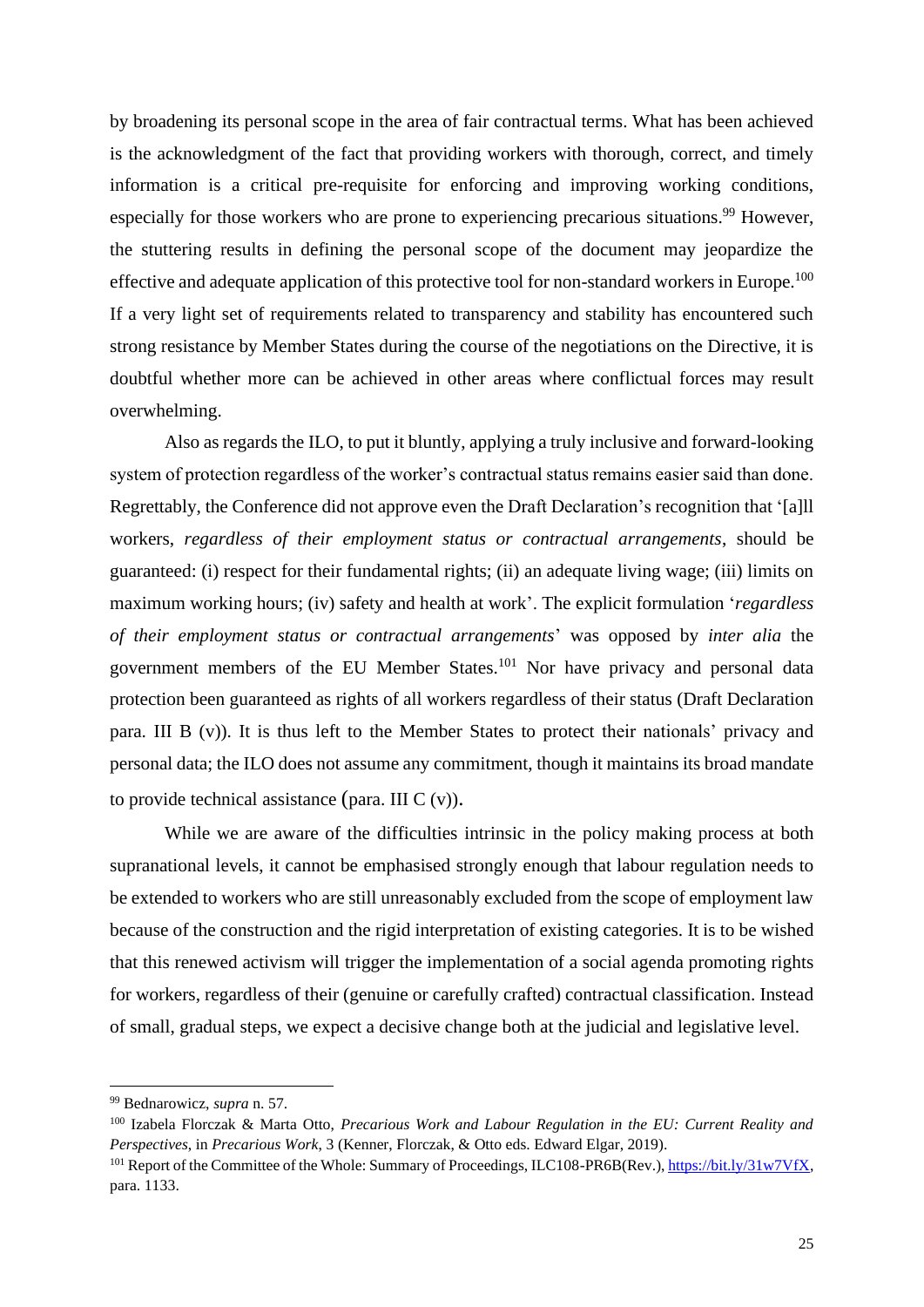by broadening its personal scope in the area of fair contractual terms. What has been achieved is the acknowledgment of the fact that providing workers with thorough, correct, and timely information is a critical pre-requisite for enforcing and improving working conditions, especially for those workers who are prone to experiencing precarious situations.<sup>99</sup> However, the stuttering results in defining the personal scope of the document may jeopardize the effective and adequate application of this protective tool for non-standard workers in Europe.<sup>100</sup> If a very light set of requirements related to transparency and stability has encountered such strong resistance by Member States during the course of the negotiations on the Directive, it is doubtful whether more can be achieved in other areas where conflictual forces may result overwhelming.

Also as regards the ILO, to put it bluntly, applying a truly inclusive and forward-looking system of protection regardless of the worker's contractual status remains easier said than done. Regrettably, the Conference did not approve even the Draft Declaration's recognition that '[a]ll workers, *regardless of their employment status or contractual arrangements*, should be guaranteed: (i) respect for their fundamental rights; (ii) an adequate living wage; (iii) limits on maximum working hours; (iv) safety and health at work'. The explicit formulation '*regardless of their employment status or contractual arrangements*' was opposed by *inter alia* the government members of the EU Member States.<sup>101</sup> Nor have privacy and personal data protection been guaranteed as rights of all workers regardless of their status (Draft Declaration para. III B (v)). It is thus left to the Member States to protect their nationals' privacy and personal data; the ILO does not assume any commitment, though it maintains its broad mandate to provide technical assistance (para. III C (v)).

While we are aware of the difficulties intrinsic in the policy making process at both supranational levels, it cannot be emphasised strongly enough that labour regulation needs to be extended to workers who are still unreasonably excluded from the scope of employment law because of the construction and the rigid interpretation of existing categories. It is to be wished that this renewed activism will trigger the implementation of a social agenda promoting rights for workers, regardless of their (genuine or carefully crafted) contractual classification. Instead of small, gradual steps, we expect a decisive change both at the judicial and legislative level.

<sup>99</sup> Bednarowicz, *supra* n. 57.

<sup>100</sup> Izabela Florczak & Marta Otto, *Precarious Work and Labour Regulation in the EU: Current Reality and Perspectives*, in *Precarious Work*, 3 (Kenner, Florczak, & Otto eds. Edward Elgar, 2019).

<sup>101</sup> Report of the Committee of the Whole: Summary of Proceedings, ILC108-PR6B(Rev.)[, https://bit.ly/31w7VfX,](https://bit.ly/31w7VfX) para. 1133.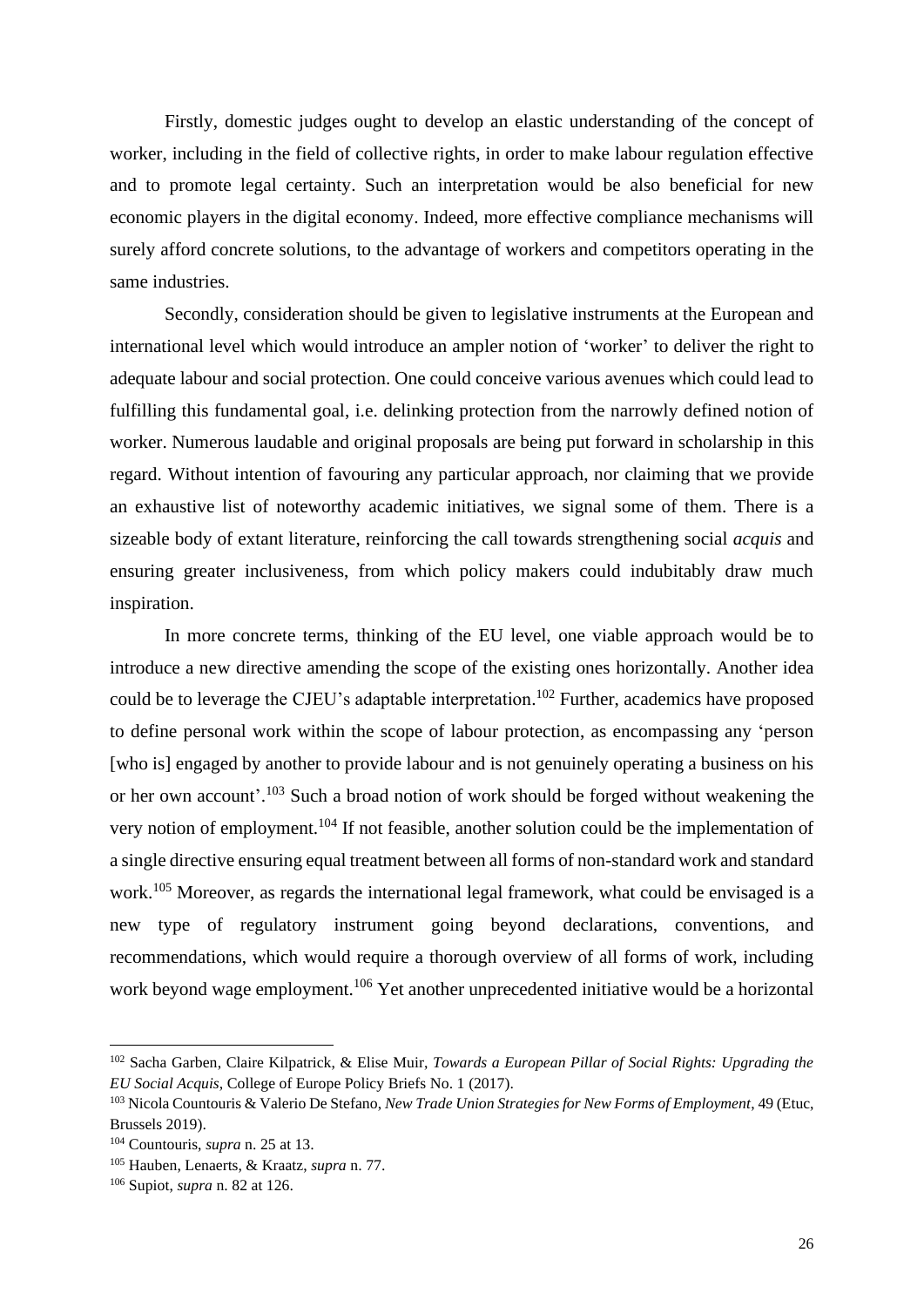Firstly, domestic judges ought to develop an elastic understanding of the concept of worker, including in the field of collective rights, in order to make labour regulation effective and to promote legal certainty. Such an interpretation would be also beneficial for new economic players in the digital economy. Indeed, more effective compliance mechanisms will surely afford concrete solutions, to the advantage of workers and competitors operating in the same industries.

Secondly, consideration should be given to legislative instruments at the European and international level which would introduce an ampler notion of 'worker' to deliver the right to adequate labour and social protection. One could conceive various avenues which could lead to fulfilling this fundamental goal, i.e. delinking protection from the narrowly defined notion of worker. Numerous laudable and original proposals are being put forward in scholarship in this regard. Without intention of favouring any particular approach, nor claiming that we provide an exhaustive list of noteworthy academic initiatives, we signal some of them. There is a sizeable body of extant literature, reinforcing the call towards strengthening social *acquis* and ensuring greater inclusiveness, from which policy makers could indubitably draw much inspiration.

In more concrete terms, thinking of the EU level, one viable approach would be to introduce a new directive amending the scope of the existing ones horizontally. Another idea could be to leverage the CJEU's adaptable interpretation.<sup>102</sup> Further, academics have proposed to define personal work within the scope of labour protection, as encompassing any 'person [who is] engaged by another to provide labour and is not genuinely operating a business on his or her own account'.<sup>103</sup> Such a broad notion of work should be forged without weakening the very notion of employment.<sup>104</sup> If not feasible, another solution could be the implementation of a single directive ensuring equal treatment between all forms of non-standard work and standard work.<sup>105</sup> Moreover, as regards the international legal framework, what could be envisaged is a new type of regulatory instrument going beyond declarations, conventions, and recommendations, which would require a thorough overview of all forms of work, including work beyond wage employment.<sup>106</sup> Yet another unprecedented initiative would be a horizontal

<sup>102</sup> Sacha Garben, Claire Kilpatrick, & Elise Muir, *Towards a European Pillar of Social Rights: Upgrading the EU Social Acquis*, College of Europe Policy Briefs No. 1 (2017).

<sup>103</sup> Nicola Countouris & Valerio De Stefano, *New Trade Union Strategies for New Forms of Employment*, 49 (Etuc, Brussels 2019).

<sup>104</sup> Countouris, *supra* n. 25 at 13.

<sup>105</sup> Hauben, Lenaerts, & Kraatz, *supra* n. 77.

<sup>106</sup> Supiot, *supra* n. 82 at 126.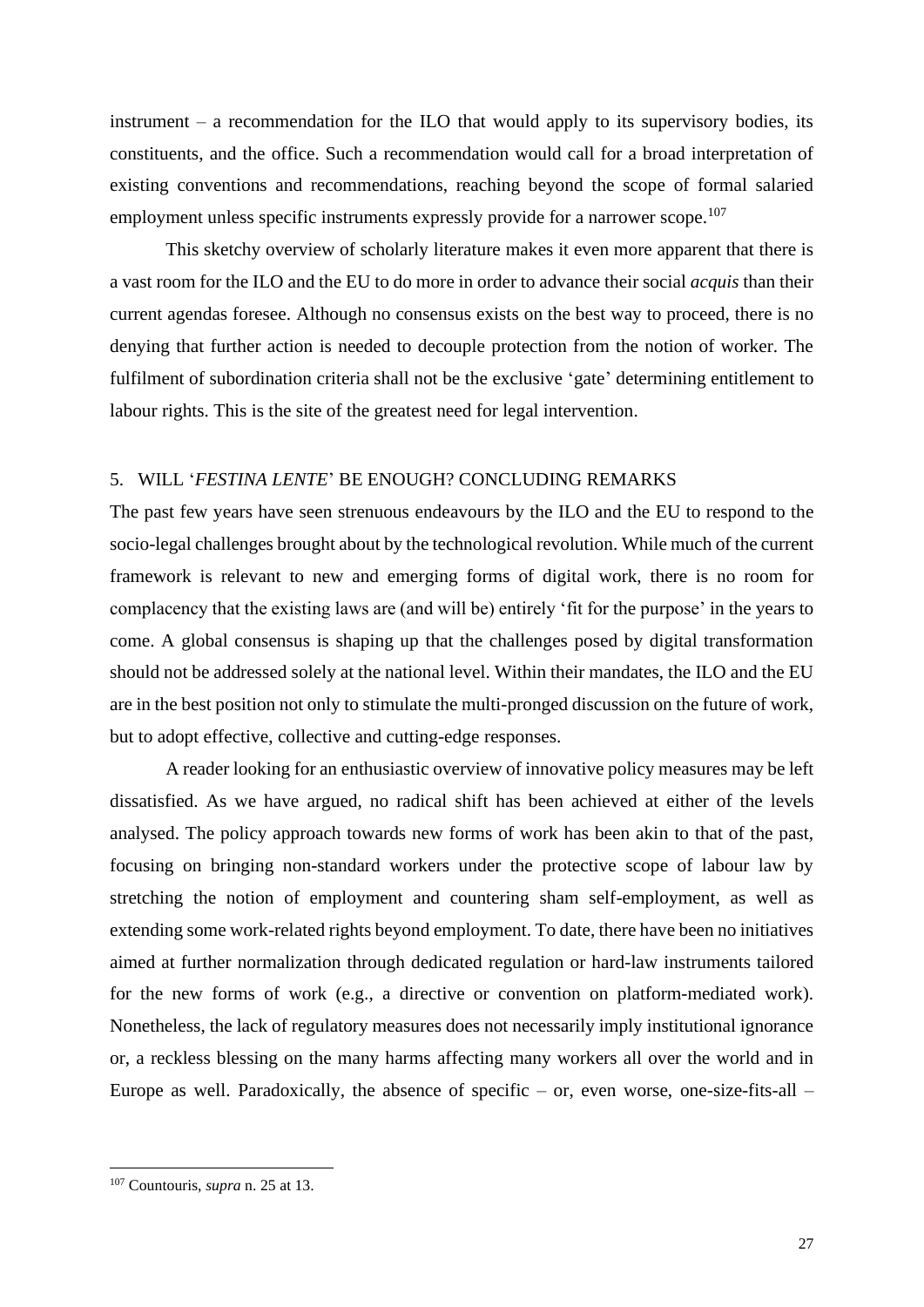instrument – a recommendation for the ILO that would apply to its supervisory bodies, its constituents, and the office. Such a recommendation would call for a broad interpretation of existing conventions and recommendations, reaching beyond the scope of formal salaried employment unless specific instruments expressly provide for a narrower scope.<sup>107</sup>

This sketchy overview of scholarly literature makes it even more apparent that there is a vast room for the ILO and the EU to do more in order to advance their social *acquis* than their current agendas foresee. Although no consensus exists on the best way to proceed, there is no denying that further action is needed to decouple protection from the notion of worker. The fulfilment of subordination criteria shall not be the exclusive 'gate' determining entitlement to labour rights. This is the site of the greatest need for legal intervention.

#### 5. WILL '*FESTINA LENTE*' BE ENOUGH? CONCLUDING REMARKS

The past few years have seen strenuous endeavours by the ILO and the EU to respond to the socio-legal challenges brought about by the technological revolution. While much of the current framework is relevant to new and emerging forms of digital work, there is no room for complacency that the existing laws are (and will be) entirely 'fit for the purpose' in the years to come. A global consensus is shaping up that the challenges posed by digital transformation should not be addressed solely at the national level. Within their mandates, the ILO and the EU are in the best position not only to stimulate the multi-pronged discussion on the future of work, but to adopt effective, collective and cutting-edge responses.

A reader looking for an enthusiastic overview of innovative policy measures may be left dissatisfied. As we have argued, no radical shift has been achieved at either of the levels analysed. The policy approach towards new forms of work has been akin to that of the past, focusing on bringing non-standard workers under the protective scope of labour law by stretching the notion of employment and countering sham self-employment, as well as extending some work-related rights beyond employment. To date, there have been no initiatives aimed at further normalization through dedicated regulation or hard-law instruments tailored for the new forms of work (e.g., a directive or convention on platform-mediated work). Nonetheless, the lack of regulatory measures does not necessarily imply institutional ignorance or, a reckless blessing on the many harms affecting many workers all over the world and in Europe as well. Paradoxically, the absence of specific – or, even worse, one-size-fits-all –

<sup>107</sup> Countouris, *supra* n. 25 at 13.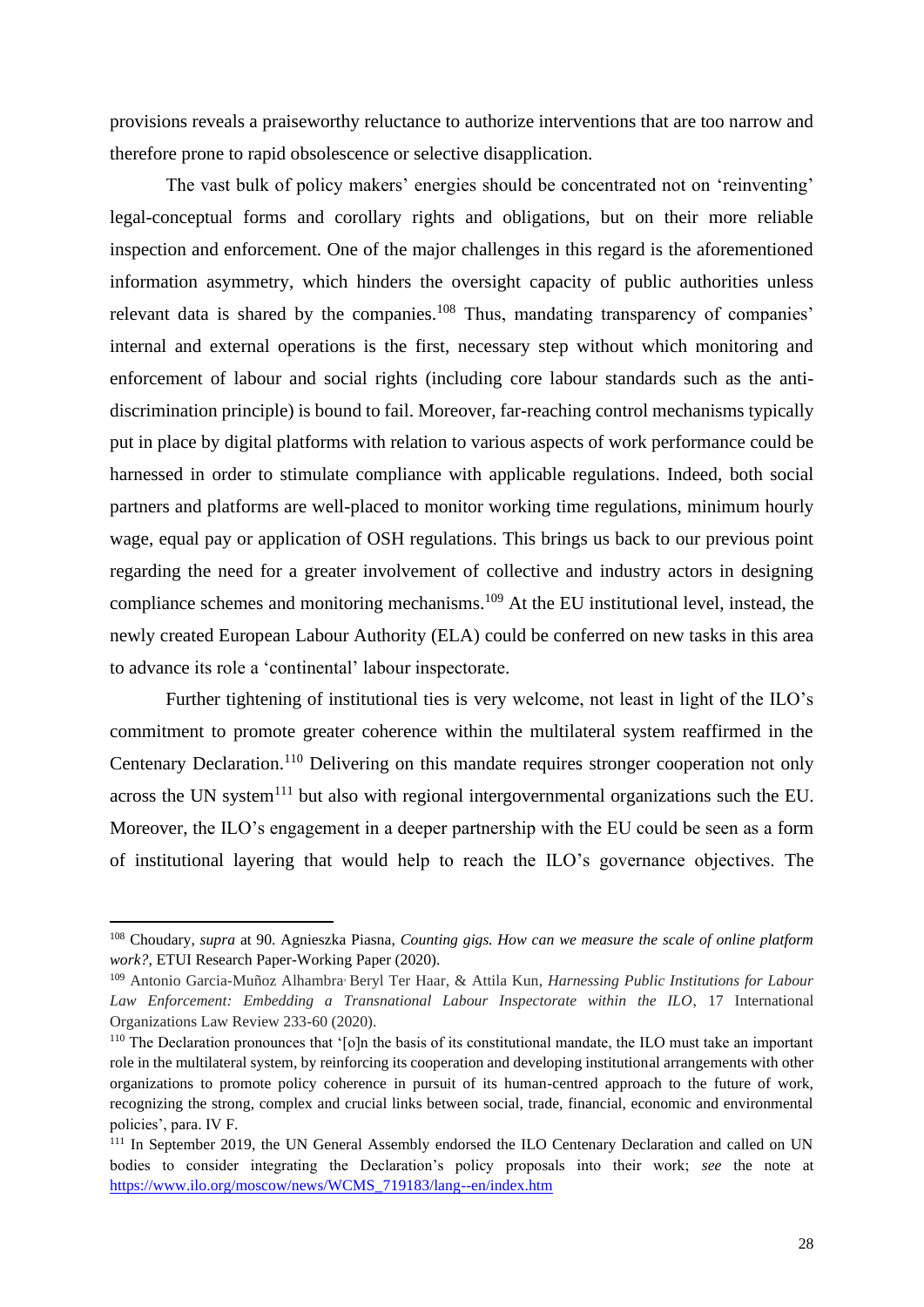provisions reveals a praiseworthy reluctance to authorize interventions that are too narrow and therefore prone to rapid obsolescence or selective disapplication.

The vast bulk of policy makers' energies should be concentrated not on 'reinventing' legal-conceptual forms and corollary rights and obligations, but on their more reliable inspection and enforcement. One of the major challenges in this regard is the aforementioned information asymmetry, which hinders the oversight capacity of public authorities unless relevant data is shared by the companies.<sup>108</sup> Thus, mandating transparency of companies' internal and external operations is the first, necessary step without which monitoring and enforcement of labour and social rights (including core labour standards such as the antidiscrimination principle) is bound to fail. Moreover, far-reaching control mechanisms typically put in place by digital platforms with relation to various aspects of work performance could be harnessed in order to stimulate compliance with applicable regulations. Indeed, both social partners and platforms are well-placed to monitor working time regulations, minimum hourly wage, equal pay or application of OSH regulations. This brings us back to our previous point regarding the need for a greater involvement of collective and industry actors in designing compliance schemes and monitoring mechanisms.<sup>109</sup> At the EU institutional level, instead, the newly created European Labour Authority (ELA) could be conferred on new tasks in this area to advance its role a 'continental' labour inspectorate.

Further tightening of institutional ties is very welcome, not least in light of the ILO's commitment to promote greater coherence within the multilateral system reaffirmed in the Centenary Declaration.<sup>110</sup> Delivering on this mandate requires stronger cooperation not only across the UN system<sup>111</sup> but also with regional intergovernmental organizations such the EU. Moreover, the ILO's engagement in a deeper partnership with the EU could be seen as a form of institutional layering that would help to reach the ILO's governance objectives. The

<sup>108</sup> Choudary, *supra* at 90. Agnieszka Piasna, *Counting gigs. How can we measure the scale of online platform work?*, ETUI Research Paper-Working Paper (2020).

<sup>109</sup> Antonio Garcia-Muñoz Alhambra, Beryl Ter Haar, & Attila Kun, *Harnessing Public Institutions for Labour Law Enforcement: Embedding a Transnational Labour Inspectorate within the ILO*, 17 International Organizations Law Review 233-60 (2020).

<sup>&</sup>lt;sup>110</sup> The Declaration pronounces that '[o]n the basis of its constitutional mandate, the ILO must take an important role in the multilateral system, by reinforcing its cooperation and developing institutional arrangements with other organizations to promote policy coherence in pursuit of its human-centred approach to the future of work, recognizing the strong, complex and crucial links between social, trade, financial, economic and environmental policies', para. IV F.

<sup>&</sup>lt;sup>111</sup> In September 2019, the UN General Assembly endorsed the ILO Centenary Declaration and called on UN bodies to consider integrating the Declaration's policy proposals into their work; *see* the note at [https://www.ilo.org/moscow/news/WCMS\\_719183/lang--en/index.htm](https://www.ilo.org/moscow/news/WCMS_719183/lang--en/index.htm)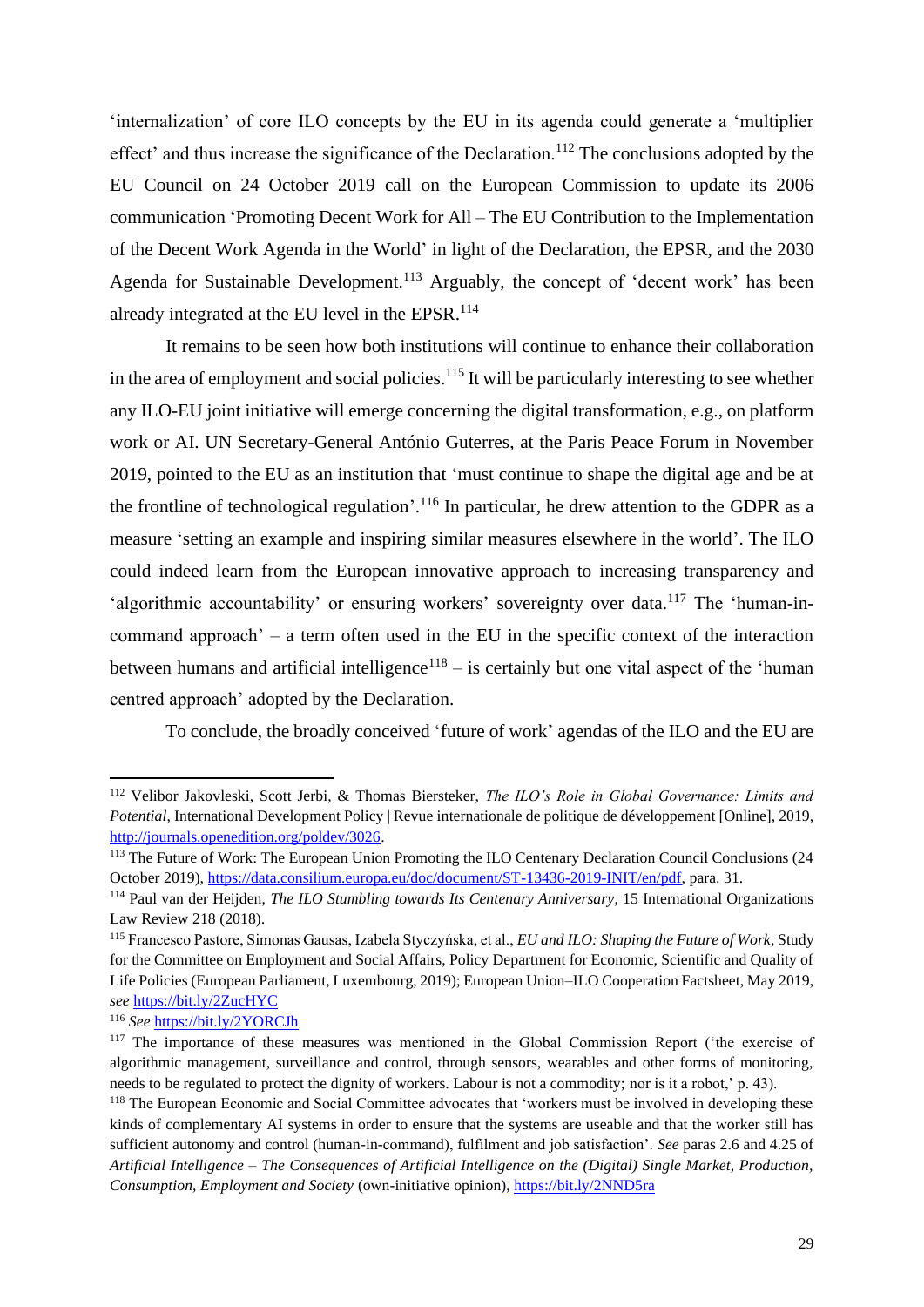'internalization' of core ILO concepts by the EU in its agenda could generate a 'multiplier effect' and thus increase the significance of the Declaration.<sup>112</sup> The conclusions adopted by the EU Council on 24 October 2019 call on the European Commission to update its 2006 communication 'Promoting Decent Work for All – The EU Contribution to the Implementation of the Decent Work Agenda in the World' in light of the Declaration, the EPSR, and the 2030 Agenda for Sustainable Development.<sup>113</sup> Arguably, the concept of 'decent work' has been already integrated at the EU level in the EPSR.<sup>114</sup>

It remains to be seen how both institutions will continue to enhance their collaboration in the area of employment and social policies.<sup>115</sup> It will be particularly interesting to see whether any ILO-EU joint initiative will emerge concerning the digital transformation, e.g., on platform work or AI. UN Secretary-General António Guterres, at the Paris Peace Forum in November 2019, pointed to the EU as an institution that 'must continue to shape the digital age and be at the frontline of technological regulation'.<sup>116</sup> In particular, he drew attention to the GDPR as a measure 'setting an example and inspiring similar measures elsewhere in the world'. The ILO could indeed learn from the European innovative approach to increasing transparency and 'algorithmic accountability' or ensuring workers' sovereignty over data.<sup>117</sup> The 'human-incommand approach' – a term often used in the EU in the specific context of the interaction between humans and artificial intelligence<sup>118</sup> – is certainly but one vital aspect of the 'human centred approach' adopted by the Declaration.

To conclude, the broadly conceived 'future of work' agendas of the ILO and the EU are

<sup>112</sup> Velibor Jakovleski, Scott Jerbi, & Thomas Biersteker, *The ILO's Role in Global Governance: Limits and Potential*, International Development Policy | Revue internationale de politique de développement [Online], 2019, [http://journals.openedition.org/poldev/3026.](http://journals.openedition.org/poldev/3026)

<sup>&</sup>lt;sup>113</sup> The Future of Work: The European Union Promoting the ILO Centenary Declaration Council Conclusions (24 October 2019), [https://data.consilium.europa.eu/doc/document/ST-13436-2019-INIT/en/pdf,](https://data.consilium.europa.eu/doc/document/ST-13436-2019-INIT/en/pdf) para. 31.

<sup>114</sup> Paul van der Heijden, *The ILO Stumbling towards Its Centenary Anniversary*, 15 International Organizations Law Review 218 (2018).

<sup>115</sup> Francesco Pastore, Simonas Gausas, Izabela Styczyńska, et al., *[EU and ILO: Shaping the Future of Work](http://www.europarl.europa.eu/RegData/etudes/STUD/2019/638407/IPOL_STU(2019)638407_EN.pdf)*, Study for the Committee on Employment and Social Affairs, Policy Department for Economic, Scientific and Quality of Life Policies (European Parliament, Luxembourg, 2019); European Union–ILO Cooperation Factsheet, May 2019, *see* <https://bit.ly/2ZucHYC>

<sup>116</sup> *See* <https://bit.ly/2YORCJh>

<sup>&</sup>lt;sup>117</sup> The importance of these measures was mentioned in the Global Commission Report ('the exercise of algorithmic management, surveillance and control, through sensors, wearables and other forms of monitoring, needs to be regulated to protect the dignity of workers. Labour is not a commodity; nor is it a robot,' p. 43).

<sup>&</sup>lt;sup>118</sup> The European Economic and Social Committee advocates that 'workers must be involved in developing these kinds of complementary AI systems in order to ensure that the systems are useable and that the worker still has sufficient autonomy and control (human-in-command), fulfilment and job satisfaction'. *See* paras 2.6 and 4.25 of *Artificial Intelligence – The Consequences of Artificial Intelligence on the (Digital) Single Market, Production, Consumption, Employment and Society* (own-initiative opinion),<https://bit.ly/2NND5ra>